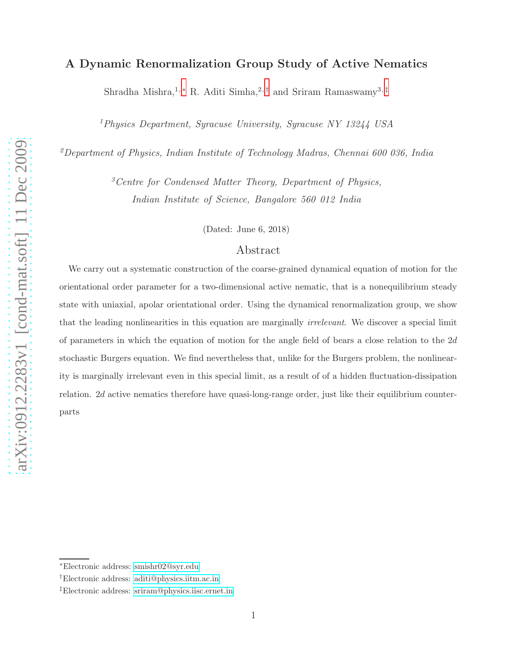# A Dynamic Renormalization Group Study of Active Nematics

Shradha Mishra,<sup>1,\*</sup> R. Aditi Simha,<sup>2,[†](#page-0-1)</sup> and Sriram Ramaswamy<sup>3,[‡](#page-0-2)</sup>

<sup>1</sup>Physics Department, Syracuse University, Syracuse NY 13244 USA

<sup>2</sup>Department of Physics, Indian Institute of Technology Madras, Chennai 600 036, India

 ${}^{3}$ Centre for Condensed Matter Theory, Department of Physics, Indian Institute of Science, Bangalore 560 012 India

(Dated: June 6, 2018)

# Abstract

We carry out a systematic construction of the coarse-grained dynamical equation of motion for the orientational order parameter for a two-dimensional active nematic, that is a nonequilibrium steady state with uniaxial, apolar orientational order. Using the dynamical renormalization group, we show that the leading nonlinearities in this equation are marginally *irrelevant*. We discover a special limit of parameters in which the equation of motion for the angle field of bears a close relation to the  $2d$ stochastic Burgers equation. We find nevertheless that, unlike for the Burgers problem, the nonlinearity is marginally irrelevant even in this special limit, as a result of of a hidden fluctuation-dissipation relation. 2d active nematics therefore have quasi-long-range order, just like their equilibrium counterparts

<span id="page-0-1"></span><span id="page-0-0"></span><sup>∗</sup>Electronic address: [smishr02@syr.edu](mailto:smishr02@syr.edu)

<span id="page-0-2"></span><sup>†</sup>Electronic address: [aditi@physics.iitm.ac.in](mailto:aditi@physics.iitm.ac.in)

<sup>‡</sup>Electronic address: [sriram@physics.iisc.ernet.in](mailto:sriram@physics.iisc.ernet.in)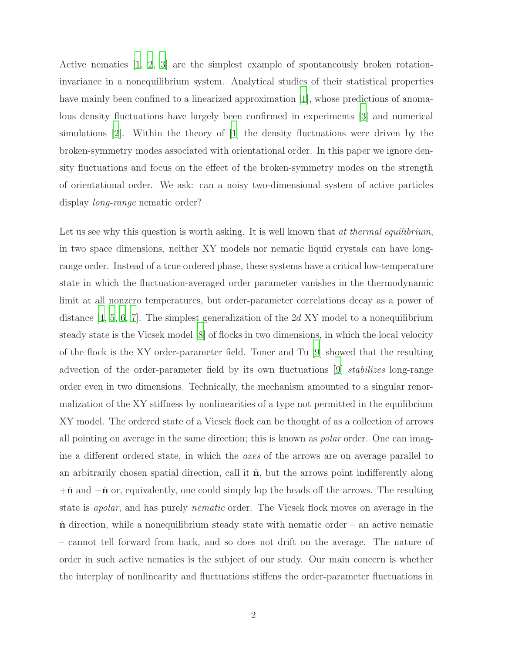Active nematics [\[1](#page-27-0), [2](#page-28-0), [3\]](#page-28-1) are the simplest example of spontaneously broken rotationinvariance in a nonequilibrium system. Analytical studies of their statistical properties have mainly been confined to a linearized approximation [\[1\]](#page-27-0), whose predictions of anomalous density fluctuations have largely been confirmed in experiments [\[3\]](#page-28-1) and numerical simulations [\[2](#page-28-0)]. Within the theory of [\[1](#page-27-0)] the density fluctuations were driven by the broken-symmetry modes associated with orientational order. In this paper we ignore density fluctuations and focus on the effect of the broken-symmetry modes on the strength of orientational order. We ask: can a noisy two-dimensional system of active particles display long-range nematic order?

Let us see why this question is worth asking. It is well known that at thermal equilibrium, in two space dimensions, neither XY models nor nematic liquid crystals can have longrange order. Instead of a true ordered phase, these systems have a critical low-temperature state in which the fluctuation-averaged order parameter vanishes in the thermodynamic limit at all nonzero temperatures, but order-parameter correlations decay as a power of distance  $[4, 5, 6, 7]$  $[4, 5, 6, 7]$  $[4, 5, 6, 7]$  $[4, 5, 6, 7]$  $[4, 5, 6, 7]$  $[4, 5, 6, 7]$ . The simplest generalization of the 2d XY model to a nonequilibrium steady state is the Vicsek model [\[8](#page-28-6)] of flocks in two dimensions, in which the local velocity of the flock is the XY order-parameter field. Toner and Tu [\[9\]](#page-28-7) showed that the resulting advection of the order-parameter field by its own fluctuations [\[9](#page-28-7)] stabilizes long-range order even in two dimensions. Technically, the mechanism amounted to a singular renormalization of the XY stiffness by nonlinearities of a type not permitted in the equilibrium XY model. The ordered state of a Vicsek flock can be thought of as a collection of arrows all pointing on average in the same direction; this is known as polar order. One can imagine a different ordered state, in which the axes of the arrows are on average parallel to an arbitrarily chosen spatial direction, call it  $\hat{\mathbf{n}}$ , but the arrows point indifferently along  $+\hat{\mathbf{n}}$  and  $-\hat{\mathbf{n}}$  or, equivalently, one could simply lop the heads off the arrows. The resulting state is apolar, and has purely nematic order. The Vicsek flock moves on average in the  $\hat{\mathbf{n}}$  direction, while a nonequilibrium steady state with nematic order – an active nematic – cannot tell forward from back, and so does not drift on the average. The nature of order in such active nematics is the subject of our study. Our main concern is whether the interplay of nonlinearity and fluctuations stiffens the order-parameter fluctuations in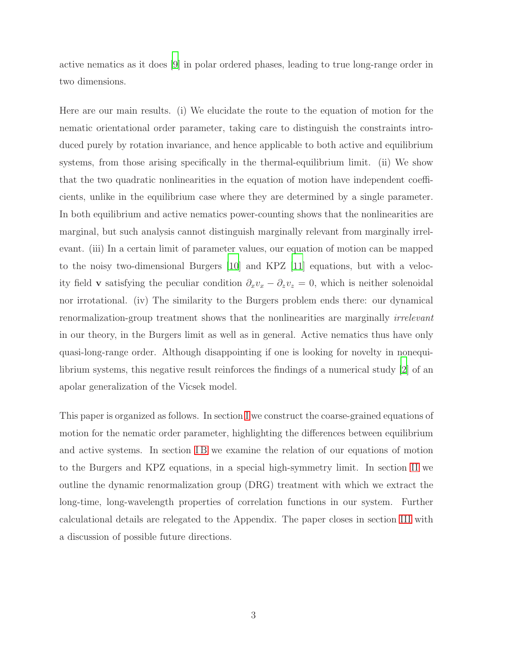active nematics as it does [\[9\]](#page-28-7) in polar ordered phases, leading to true long-range order in two dimensions.

Here are our main results. (i) We elucidate the route to the equation of motion for the nematic orientational order parameter, taking care to distinguish the constraints introduced purely by rotation invariance, and hence applicable to both active and equilibrium systems, from those arising specifically in the thermal-equilibrium limit. (ii) We show that the two quadratic nonlinearities in the equation of motion have independent coefficients, unlike in the equilibrium case where they are determined by a single parameter. In both equilibrium and active nematics power-counting shows that the nonlinearities are marginal, but such analysis cannot distinguish marginally relevant from marginally irrelevant. (iii) In a certain limit of parameter values, our equation of motion can be mapped to the noisy two-dimensional Burgers [\[10\]](#page-28-8) and KPZ [\[11](#page-28-9)] equations, but with a velocity field **v** satisfying the peculiar condition  $\partial_x v_x - \partial_z v_z = 0$ , which is neither solenoidal nor irrotational. (iv) The similarity to the Burgers problem ends there: our dynamical renormalization-group treatment shows that the nonlinearities are marginally *irrelevant* in our theory, in the Burgers limit as well as in general. Active nematics thus have only quasi-long-range order. Although disappointing if one is looking for novelty in nonequilibrium systems, this negative result reinforces the findings of a numerical study [\[2](#page-28-0)] of an apolar generalization of the Vicsek model.

This paper is organized as follows. In section [I](#page-3-0) we construct the coarse-grained equations of motion for the nematic order parameter, highlighting the differences between equilibrium and active systems. In section IB we examine the relation of our equations of motion to the Burgers and KPZ equations, in a special high-symmetry limit. In section [II](#page-8-0) we outline the dynamic renormalization group (DRG) treatment with which we extract the long-time, long-wavelength properties of correlation functions in our system. Further calculational details are relegated to the Appendix. The paper closes in section [III](#page-18-0) with a discussion of possible future directions.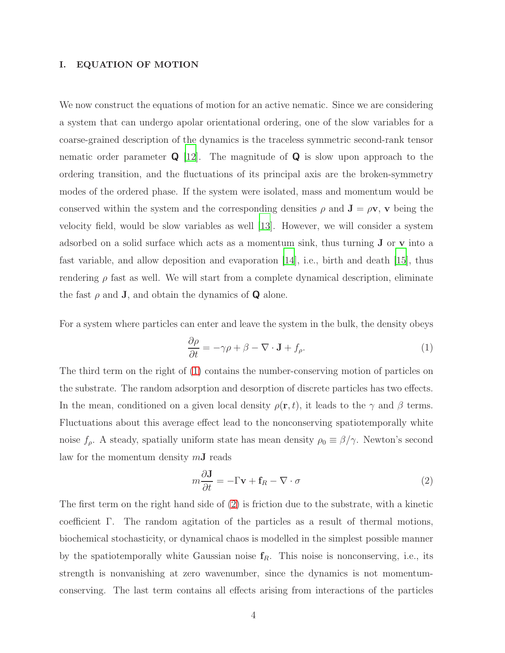## <span id="page-3-0"></span>I. EQUATION OF MOTION

We now construct the equations of motion for an active nematic. Since we are considering a system that can undergo apolar orientational ordering, one of the slow variables for a coarse-grained description of the dynamics is the traceless symmetric second-rank tensor nematic order parameter  $\bf{Q}$  [\[12\]](#page-28-10). The magnitude of  $\bf{Q}$  is slow upon approach to the ordering transition, and the fluctuations of its principal axis are the broken-symmetry modes of the ordered phase. If the system were isolated, mass and momentum would be conserved within the system and the corresponding densities  $\rho$  and  $\mathbf{J} = \rho \mathbf{v}$ ,  $\mathbf{v}$  being the velocity field, would be slow variables as well [\[13\]](#page-28-11). However, we will consider a system adsorbed on a solid surface which acts as a momentum sink, thus turning J or v into a fast variable, and allow deposition and evaporation [\[14\]](#page-28-12), i.e., birth and death [\[15](#page-28-13)], thus rendering  $\rho$  fast as well. We will start from a complete dynamical description, eliminate the fast  $\rho$  and **J**, and obtain the dynamics of **Q** alone.

For a system where particles can enter and leave the system in the bulk, the density obeys

<span id="page-3-1"></span>
$$
\frac{\partial \rho}{\partial t} = -\gamma \rho + \beta - \nabla \cdot \mathbf{J} + f_{\rho}.
$$
\n(1)

The third term on the right of [\(1\)](#page-3-1) contains the number-conserving motion of particles on the substrate. The random adsorption and desorption of discrete particles has two effects. In the mean, conditioned on a given local density  $\rho(\mathbf{r}, t)$ , it leads to the  $\gamma$  and  $\beta$  terms. Fluctuations about this average effect lead to the nonconserving spatiotemporally white noise  $f_{\rho}$ . A steady, spatially uniform state has mean density  $\rho_0 \equiv \beta/\gamma$ . Newton's second law for the momentum density  $m**J**$  reads

<span id="page-3-2"></span>
$$
m\frac{\partial \mathbf{J}}{\partial t} = -\Gamma \mathbf{v} + \mathbf{f}_R - \nabla \cdot \sigma \tag{2}
$$

The first term on the right hand side of [\(2\)](#page-3-2) is friction due to the substrate, with a kinetic coefficient Γ. The random agitation of the particles as a result of thermal motions, biochemical stochasticity, or dynamical chaos is modelled in the simplest possible manner by the spatiotemporally white Gaussian noise  $f_R$ . This noise is nonconserving, i.e., its strength is nonvanishing at zero wavenumber, since the dynamics is not momentumconserving. The last term contains all effects arising from interactions of the particles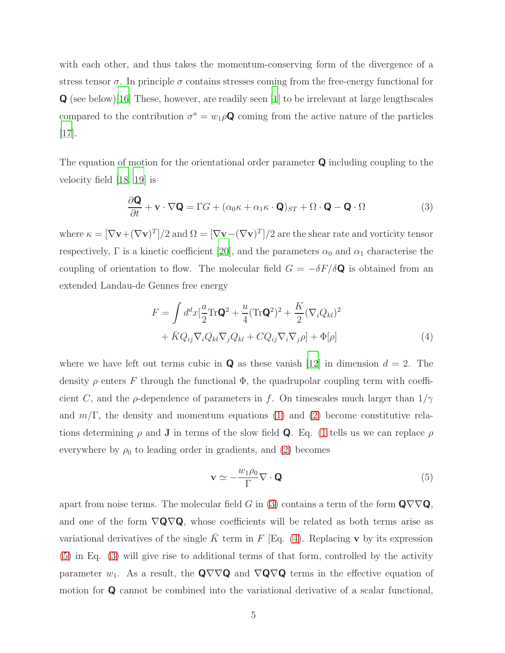with each other, and thus takes the momentum-conserving form of the divergence of a stress tensor  $\sigma$ . In principle  $\sigma$  contains stresses coming from the free-energy functional for Q (see below)[\[16](#page-28-14)] These, however, are readily seen [\[1](#page-27-0)] to be irrelevant at large lengthscales compared to the contribution  $\sigma^a = w_1 \rho \mathbf{Q}$  coming from the active nature of the particles [\[17\]](#page-28-15).

The equation of motion for the orientational order parameter  $\bf{Q}$  including coupling to the velocity field [\[18,](#page-28-16) [19](#page-29-0)] is

<span id="page-4-0"></span>
$$
\frac{\partial \mathbf{Q}}{\partial t} + \mathbf{v} \cdot \nabla \mathbf{Q} = \Gamma G + (\alpha_0 \kappa + \alpha_1 \kappa \cdot \mathbf{Q})_{ST} + \Omega \cdot \mathbf{Q} - \mathbf{Q} \cdot \Omega \tag{3}
$$

where  $\kappa = [\nabla \mathbf{v} + (\nabla \mathbf{v})^T]/2$  and  $\Omega = [\nabla \mathbf{v} - (\nabla \mathbf{v})^T]/2$  are the shear rate and vorticity tensor respectively,  $\Gamma$  is a kinetic coefficient [\[20\]](#page-29-1), and the parameters  $\alpha_0$  and  $\alpha_1$  characterise the coupling of orientation to flow. The molecular field  $G = -\delta F/\delta Q$  is obtained from an extended Landau-de Gennes free energy

$$
F = \int d^d x \left[ \frac{a}{2} \text{Tr} \mathbf{Q}^2 + \frac{u}{4} (\text{Tr} \mathbf{Q}^2)^2 + \frac{K}{2} (\nabla_i Q_{kl})^2 + \bar{K} Q_{ij} \nabla_i Q_{kl} \nabla_j Q_{kl} + C Q_{ij} \nabla_i \nabla_j \rho \right] + \Phi[\rho]
$$
\n(4)

where we have left out terms cubic in **Q** as these vanish [\[12](#page-28-10)] in dimension  $d = 2$ . The density  $\rho$  enters F through the functional  $\Phi$ , the quadrupolar coupling term with coefficient C, and the  $\rho$ -dependence of parameters in f. On timescales much larger than  $1/\gamma$ and  $m/\Gamma$ , the density and momentum equations [\(1\)](#page-3-1) and [\(2\)](#page-3-2) become constitutive relations determining  $\rho$  and **J** in terms of the slow field **Q**. Eq. [\(1](#page-3-1) tells us we can replace  $\rho$ everywhere by  $\rho_0$  to leading order in gradients, and [\(2\)](#page-3-2) becomes

<span id="page-4-2"></span><span id="page-4-1"></span>
$$
\mathbf{v} \simeq -\frac{w_1 \rho_0}{\Gamma} \nabla \cdot \mathbf{Q} \tag{5}
$$

apart from noise terms. The molecular field G in [\(3\)](#page-4-0) contains a term of the form  $\mathbf{Q} \nabla \nabla \mathbf{Q}$ , and one of the form  $\nabla Q \nabla Q$ , whose coefficients will be related as both terms arise as variational derivatives of the single  $\bar{K}$  term in F [Eq. [\(4\)](#page-4-1). Replacing v by its expression [\(5\)](#page-4-2) in Eq. [\(3\)](#page-4-0) will give rise to additional terms of that form, controlled by the activity parameter  $w_1$ . As a result, the Q $\nabla \nabla Q$  and  $\nabla Q \nabla Q$  terms in the effective equation of motion for Q cannot be combined into the variational derivative of a scalar functional,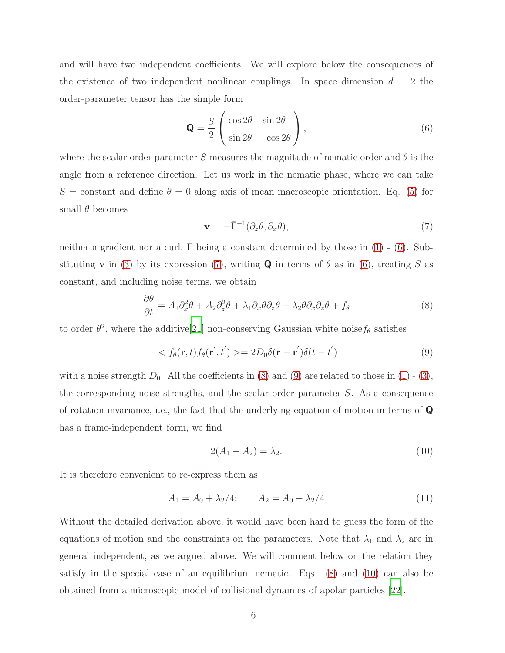and will have two independent coefficients. We will explore below the consequences of the existence of two independent nonlinear couplings. In space dimension  $d = 2$  the order-parameter tensor has the simple form

<span id="page-5-0"></span>
$$
\mathbf{Q} = \frac{S}{2} \begin{pmatrix} \cos 2\theta & \sin 2\theta \\ \sin 2\theta & -\cos 2\theta \end{pmatrix},
$$
 (6)

where the scalar order parameter S measures the magnitude of nematic order and  $\theta$  is the angle from a reference direction. Let us work in the nematic phase, where we can take S = constant and define  $\theta = 0$  along axis of mean macroscopic orientation. Eq. [\(5\)](#page-4-2) for small  $\theta$  becomes

<span id="page-5-1"></span>
$$
\mathbf{v} = -\bar{\Gamma}^{-1}(\partial_z \theta, \partial_x \theta),\tag{7}
$$

neither a gradient nor a curl,  $\overline{\Gamma}$  being a constant determined by those in [\(1\)](#page-3-1) - [\(6\)](#page-5-0). Substituting **v** in [\(3\)](#page-4-0) by its expression [\(7\)](#page-5-1), writing **Q** in terms of  $\theta$  as in [\(6\)](#page-5-0), treating S as constant, and including noise terms, we obtain

<span id="page-5-2"></span>
$$
\frac{\partial \theta}{\partial t} = A_1 \partial_x^2 \theta + A_2 \partial_z^2 \theta + \lambda_1 \partial_x \theta \partial_z \theta + \lambda_2 \theta \partial_x \partial_z \theta + f_{\theta} \tag{8}
$$

to order  $\theta^2$ , where the additive[\[21](#page-29-2)] non-conserving Gaussian white noise  $f_{\theta}$  satisfies

<span id="page-5-3"></span>
$$
\langle f_{\theta}(\mathbf{r},t)f_{\theta}(\mathbf{r}',t')\rangle = 2D_0\delta(\mathbf{r}-\mathbf{r}')\delta(t-t')
$$
\n(9)

with a noise strength  $D_0$ . All the coefficients in [\(8\)](#page-5-2) and [\(9\)](#page-5-3) are related to those in [\(1\)](#page-3-1) - [\(3\)](#page-4-0), the corresponding noise strengths, and the scalar order parameter S. As a consequence of rotation invariance, i.e., the fact that the underlying equation of motion in terms of Q has a frame-independent form, we find

<span id="page-5-4"></span>
$$
2(A_1 - A_2) = \lambda_2. \tag{10}
$$

It is therefore convenient to re-express them as

$$
A_1 = A_0 + \lambda_2/4; \qquad A_2 = A_0 - \lambda_2/4 \tag{11}
$$

Without the detailed derivation above, it would have been hard to guess the form of the equations of motion and the constraints on the parameters. Note that  $\lambda_1$  and  $\lambda_2$  are in general independent, as we argued above. We will comment below on the relation they satisfy in the special case of an equilibrium nematic. Eqs. [\(8\)](#page-5-2) and [\(10\)](#page-5-4) can also be obtained from a microscopic model of collisional dynamics of apolar particles [\[22\]](#page-29-3).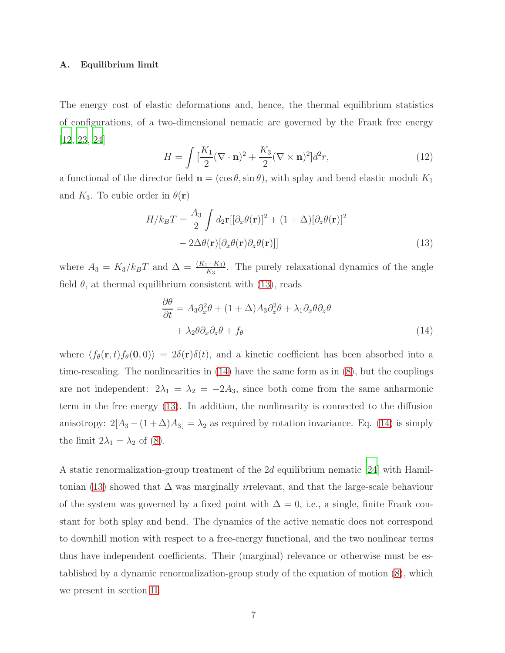#### <span id="page-6-2"></span>A. Equilibrium limit

The energy cost of elastic deformations and, hence, the thermal equilibrium statistics of configurations, of a two-dimensional nematic are governed by the Frank free energy [\[12,](#page-28-10) [23,](#page-29-4) [24\]](#page-29-5)

$$
H = \int \left[\frac{K_1}{2} (\nabla \cdot \mathbf{n})^2 + \frac{K_3}{2} (\nabla \times \mathbf{n})^2\right] d^2 r,\tag{12}
$$

a functional of the director field  $\mathbf{n} = (\cos \theta, \sin \theta)$ , with splay and bend elastic moduli  $K_1$ and  $K_3$ . To cubic order in  $\theta(\mathbf{r})$ 

$$
H/k_BT = \frac{A_3}{2} \int d_2 \mathbf{r} [[\partial_x \theta(\mathbf{r})]^2 + (1+\Delta)[\partial_z \theta(\mathbf{r})]^2
$$
  
- 2\Delta\theta(\mathbf{r})[\partial\_x \theta(\mathbf{r})\partial\_z \theta(\mathbf{r})]] (13)

where  $A_3 = K_3/k_B T$  and  $\Delta = \frac{(K_1 - K_3)}{K_3}$ . The purely relaxational dynamics of the angle field  $\theta$ , at thermal equilibrium consistent with [\(13\)](#page-6-0), reads

<span id="page-6-1"></span><span id="page-6-0"></span>
$$
\frac{\partial \theta}{\partial t} = A_3 \partial_x^2 \theta + (1 + \Delta) A_3 \partial_z^2 \theta + \lambda_1 \partial_x \theta \partial_z \theta + \lambda_2 \theta \partial_x \partial_z \theta + f_{\theta}
$$
\n(14)

where  $\langle f_{\theta}(\mathbf{r}, t) f_{\theta}(0, 0) \rangle = 2\delta(\mathbf{r})\delta(t)$ , and a kinetic coefficient has been absorbed into a time-rescaling. The nonlinearities in  $(14)$  have the same form as in  $(8)$ , but the couplings are not independent:  $2\lambda_1 = \lambda_2 = -2A_3$ , since both come from the same anharmonic term in the free energy [\(13\)](#page-6-0). In addition, the nonlinearity is connected to the diffusion anisotropy:  $2[A_3 - (1 + \Delta)A_3] = \lambda_2$  as required by rotation invariance. Eq. [\(14\)](#page-6-1) is simply the limit  $2\lambda_1 = \lambda_2$  of [\(8\)](#page-5-2).

A static renormalization-group treatment of the 2d equilibrium nematic [\[24](#page-29-5)] with Hamil-tonian [\(13\)](#page-6-0) showed that  $\Delta$  was marginally *irrelevant*, and that the large-scale behaviour of the system was governed by a fixed point with  $\Delta = 0$ , i.e., a single, finite Frank constant for both splay and bend. The dynamics of the active nematic does not correspond to downhill motion with respect to a free-energy functional, and the two nonlinear terms thus have independent coefficients. Their (marginal) relevance or otherwise must be established by a dynamic renormalization-group study of the equation of motion [\(8\)](#page-5-2), which we present in section [II.](#page-8-0)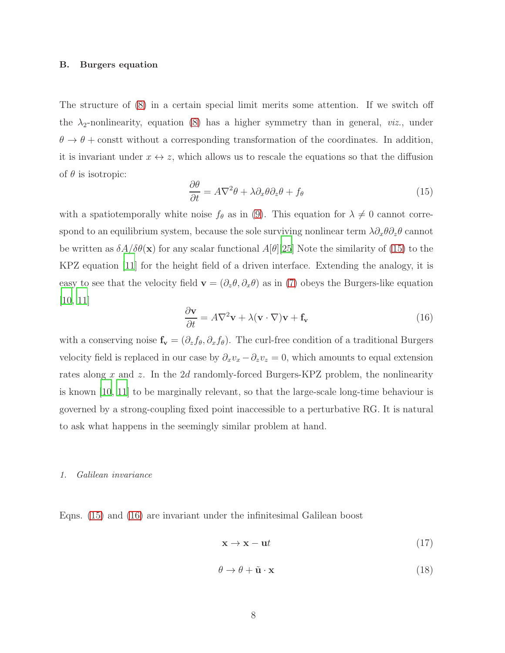#### <span id="page-7-0"></span>B. Burgers equation

The structure of [\(8\)](#page-5-2) in a certain special limit merits some attention. If we switch off the  $\lambda_2$ -nonlinearity, equation [\(8\)](#page-5-2) has a higher symmetry than in general, *viz.*, under  $\theta \to \theta$  + constrt without a corresponding transformation of the coordinates. In addition, it is invariant under  $x \leftrightarrow z$ , which allows us to rescale the equations so that the diffusion of  $\theta$  is isotropic:

<span id="page-7-1"></span>
$$
\frac{\partial \theta}{\partial t} = A \nabla^2 \theta + \lambda \partial_x \theta \partial_z \theta + f_{\theta} \tag{15}
$$

with a spatiotemporally white noise  $f_{\theta}$  as in [\(9\)](#page-5-3). This equation for  $\lambda \neq 0$  cannot correspond to an equilibrium system, because the sole surviving nonlinear term  $\lambda \partial_x \theta \partial_z \theta$  cannot be written as  $\delta A/\delta\theta(\mathbf{x})$  for any scalar functional  $A[\theta][25]$  $A[\theta][25]$  Note the similarity of [\(15\)](#page-7-1) to the KPZ equation [\[11](#page-28-9)] for the height field of a driven interface. Extending the analogy, it is easy to see that the velocity field  $\mathbf{v} = (\partial_z \theta, \partial_x \theta)$  as in [\(7\)](#page-5-1) obeys the Burgers-like equation [\[10,](#page-28-8) [11\]](#page-28-9)

<span id="page-7-2"></span>
$$
\frac{\partial \mathbf{v}}{\partial t} = A \nabla^2 \mathbf{v} + \lambda (\mathbf{v} \cdot \nabla) \mathbf{v} + \mathbf{f}_{\mathbf{v}} \tag{16}
$$

with a conserving noise  $\mathbf{f}_{\mathbf{v}} = (\partial_z f_{\theta}, \partial_x f_{\theta})$ . The curl-free condition of a traditional Burgers velocity field is replaced in our case by  $\partial_x v_x - \partial_z v_z = 0$ , which amounts to equal extension rates along x and z. In the 2d randomly-forced Burgers-KPZ problem, the nonlinearity is known [\[10](#page-28-8), [11](#page-28-9)] to be marginally relevant, so that the large-scale long-time behaviour is governed by a strong-coupling fixed point inaccessible to a perturbative RG. It is natural to ask what happens in the seemingly similar problem at hand.

#### <span id="page-7-3"></span>*1. Galilean invariance*

Eqns. [\(15\)](#page-7-1) and [\(16\)](#page-7-2) are invariant under the infinitesimal Galilean boost

$$
\mathbf{x} \to \mathbf{x} - \mathbf{u}t \tag{17}
$$

$$
\theta \to \theta + \tilde{\mathbf{u}} \cdot \mathbf{x} \tag{18}
$$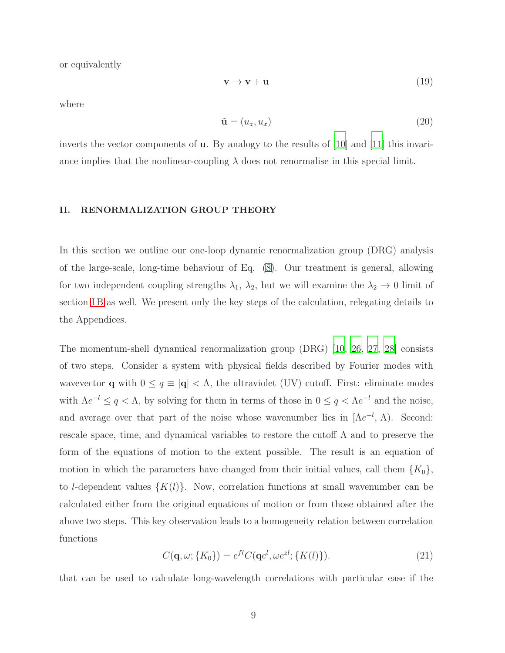or equivalently

$$
\mathbf{v} \to \mathbf{v} + \mathbf{u} \tag{19}
$$

where

$$
\tilde{\mathbf{u}} = (u_z, u_x) \tag{20}
$$

inverts the vector components of u. By analogy to the results of [\[10\]](#page-28-8) and [\[11](#page-28-9)] this invariance implies that the nonlinear-coupling  $\lambda$  does not renormalise in this special limit.

### <span id="page-8-0"></span>II. RENORMALIZATION GROUP THEORY

In this section we outline our one-loop dynamic renormalization group (DRG) analysis of the large-scale, long-time behaviour of Eq. [\(8\)](#page-5-2). Our treatment is general, allowing for two independent coupling strengths  $\lambda_1$ ,  $\lambda_2$ , but we will examine the  $\lambda_2 \to 0$  limit of section IB as well. We present only the key steps of the calculation, relegating details to the Appendices.

The momentum-shell dynamical renormalization group (DRG) [\[10,](#page-28-8) [26](#page-29-7), [27](#page-29-8), [28](#page-29-9)] consists of two steps. Consider a system with physical fields described by Fourier modes with wavevector **q** with  $0 \leq q \equiv |\mathbf{q}| < \Lambda$ , the ultraviolet (UV) cutoff. First: eliminate modes with  $\Lambda e^{-l} \leq q < \Lambda$ , by solving for them in terms of those in  $0 \leq q < \Lambda e^{-l}$  and the noise, and average over that part of the noise whose wavenumber lies in  $[{\Lambda}e^{-l}, {\Lambda})$ . Second: rescale space, time, and dynamical variables to restore the cutoff  $\Lambda$  and to preserve the form of the equations of motion to the extent possible. The result is an equation of motion in which the parameters have changed from their initial values, call them  $\{K_0\}$ , to *l*-dependent values  $\{K(l)\}\$ . Now, correlation functions at small wavenumber can be calculated either from the original equations of motion or from those obtained after the above two steps. This key observation leads to a homogeneity relation between correlation functions

$$
C(\mathbf{q}, \omega; \{K_0\}) = e^{fl} C(\mathbf{q}e^l, \omega e^{zl}; \{K(l)\}).
$$
\n(21)

that can be used to calculate long-wavelength correlations with particular ease if the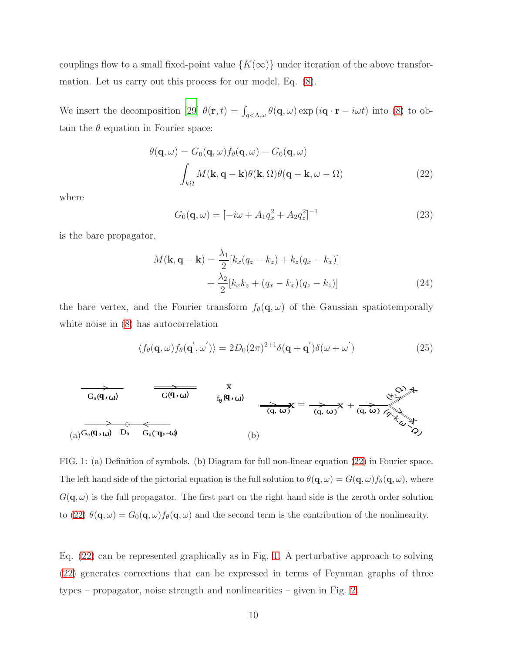couplings flow to a small fixed-point value  $\{K(\infty)\}\$  under iteration of the above transformation. Let us carry out this process for our model, Eq. [\(8\)](#page-5-2).

We insert the decomposition [\[29](#page-29-10)]  $\theta(\mathbf{r},t) = \int_{q<\Lambda,\omega} \theta(\mathbf{q},\omega) \exp(i\mathbf{q}\cdot\mathbf{r} - i\omega t)$  into [\(8\)](#page-5-2) to obtain the  $\theta$  equation in Fourier space:

$$
\theta(\mathbf{q}, \omega) = G_0(\mathbf{q}, \omega) f_{\theta}(\mathbf{q}, \omega) - G_0(\mathbf{q}, \omega)
$$

$$
\int_{k\Omega} M(\mathbf{k}, \mathbf{q} - \mathbf{k}) \theta(\mathbf{k}, \Omega) \theta(\mathbf{q} - \mathbf{k}, \omega - \Omega) \tag{22}
$$

where

<span id="page-9-3"></span><span id="page-9-0"></span>
$$
G_0(\mathbf{q}, \omega) = [-i\omega + A_1 q_x^2 + A_2 q_z^2]^{-1}
$$
\n(23)

is the bare propagator,

$$
M(\mathbf{k}, \mathbf{q} - \mathbf{k}) = \frac{\lambda_1}{2} [k_x (q_z - k_z) + k_z (q_x - k_x)]
$$
  
+ 
$$
\frac{\lambda_2}{2} [k_x k_z + (q_x - k_x) (q_z - k_z)]
$$
(24)

the bare vertex, and the Fourier transform  $f_{\theta}(\mathbf{q}, \omega)$  of the Gaussian spatiotemporally white noise in [\(8\)](#page-5-2) has autocorrelation

<span id="page-9-2"></span>
$$
\langle f_{\theta}(\mathbf{q},\omega)f_{\theta}(\mathbf{q}',\omega')\rangle = 2D_0(2\pi)^{2+1}\delta(\mathbf{q}+\mathbf{q}')\delta(\omega+\omega')
$$
 (25)



<span id="page-9-1"></span>FIG. 1: (a) Definition of symbols. (b) Diagram for full non-linear equation [\(22\)](#page-9-0) in Fourier space. The left hand side of the pictorial equation is the full solution to  $\theta(\mathbf{q}, \omega) = G(\mathbf{q}, \omega) f_{\theta}(\mathbf{q}, \omega)$ , where  $G(\mathbf{q}, \omega)$  is the full propagator. The first part on the right hand side is the zeroth order solution to [\(22\)](#page-9-0)  $\theta(\mathbf{q}, \omega) = G_0(\mathbf{q}, \omega) f_\theta(\mathbf{q}, \omega)$  and the second term is the contribution of the nonlinearity.

Eq. [\(22\)](#page-9-0) can be represented graphically as in Fig. [1.](#page-9-1) A perturbative approach to solving [\(22\)](#page-9-0) generates corrections that can be expressed in terms of Feynman graphs of three types – propagator, noise strength and nonlinearities – given in Fig. [2.](#page-10-0)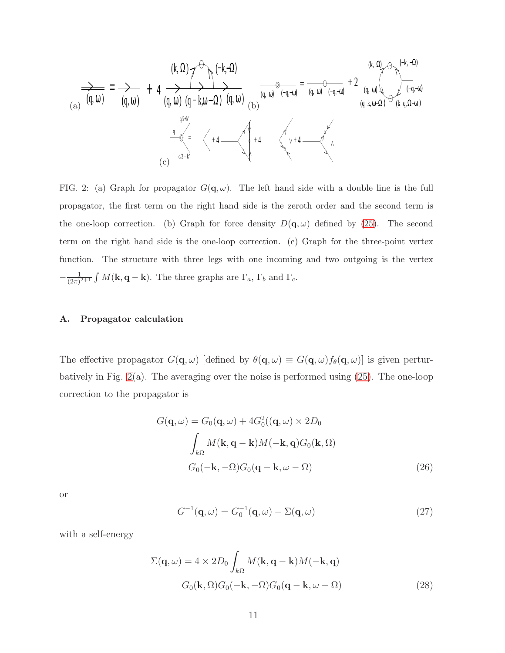$$
\frac{(k, \Omega)}{(a)} \underset{(a)}{\longrightarrow} = \underset{(b)}{\longrightarrow} + 4 \underset{(c)}{\overset{(k, \Omega)}{\longrightarrow}} + 4 \underset{(d, \omega)}{\overset{(d, \omega)}{\longrightarrow}} + 4 \underset{(e)}{\overset{(e, \omega)}{\longrightarrow}} + 4 \underset{(e)}{\overset{(h, \omega)}{\longrightarrow}} + 4 \underset{(e)}{\overset{(h, \omega)}{\longrightarrow}} + 4 \underset{(e)}{\overset{(e, \omega)}{\longrightarrow}} + 4 \underset{(e)}{\overset{(e, \omega)}{\longrightarrow}} + 4 \underset{(e)}{\overset{(h, \omega)}{\longrightarrow}} + 4 \underset{(e)}{\overset{(h, \omega)}{\longrightarrow}} + 4 \underset{(e)}{\overset{(h, \omega)}{\longrightarrow}} + 4 \underset{(e)}{\overset{(h, \omega)}{\longrightarrow}} + 4 \underset{(e)}{\overset{(h, \omega)}{\longrightarrow}}
$$

<span id="page-10-0"></span>FIG. 2: (a) Graph for propagator  $G(\mathbf{q}, \omega)$ . The left hand side with a double line is the full propagator, the first term on the right hand side is the zeroth order and the second term is the one-loop correction. (b) Graph for force density  $D(\mathbf{q}, \omega)$  defined by [\(25\)](#page-9-2). The second term on the right hand side is the one-loop correction. (c) Graph for the three-point vertex function. The structure with three legs with one incoming and two outgoing is the vertex  $-\frac{1}{(2\pi)}$  $\frac{1}{(2\pi)^{2+1}} \int M(\mathbf{k}, \mathbf{q} - \mathbf{k})$ . The three graphs are  $\Gamma_a$ ,  $\Gamma_b$  and  $\Gamma_c$ .

# A. Propagator calculation

The effective propagator  $G(\mathbf{q}, \omega)$  [defined by  $\theta(\mathbf{q}, \omega) \equiv G(\mathbf{q}, \omega) f_{\theta}(\mathbf{q}, \omega)$ ] is given perturbatively in Fig.  $2(a)$ . The averaging over the noise is performed using  $(25)$ . The one-loop correction to the propagator is

$$
G(\mathbf{q}, \omega) = G_0(\mathbf{q}, \omega) + 4G_0^2((\mathbf{q}, \omega) \times 2D_0
$$

$$
\int_{k\Omega} M(\mathbf{k}, \mathbf{q} - \mathbf{k})M(-\mathbf{k}, \mathbf{q})G_0(\mathbf{k}, \Omega)
$$

$$
G_0(-\mathbf{k}, -\Omega)G_0(\mathbf{q} - \mathbf{k}, \omega - \Omega) \tag{26}
$$

or

<span id="page-10-1"></span>
$$
G^{-1}(\mathbf{q},\omega) = G_0^{-1}(\mathbf{q},\omega) - \Sigma(\mathbf{q},\omega)
$$
\n(27)

with a self-energy

$$
\Sigma(\mathbf{q},\omega) = 4 \times 2D_0 \int_{k\Omega} M(\mathbf{k}, \mathbf{q} - \mathbf{k}) M(-\mathbf{k}, \mathbf{q})
$$

$$
G_0(\mathbf{k}, \Omega) G_0(-\mathbf{k}, -\Omega) G_0(\mathbf{q} - \mathbf{k}, \omega - \Omega) \tag{28}
$$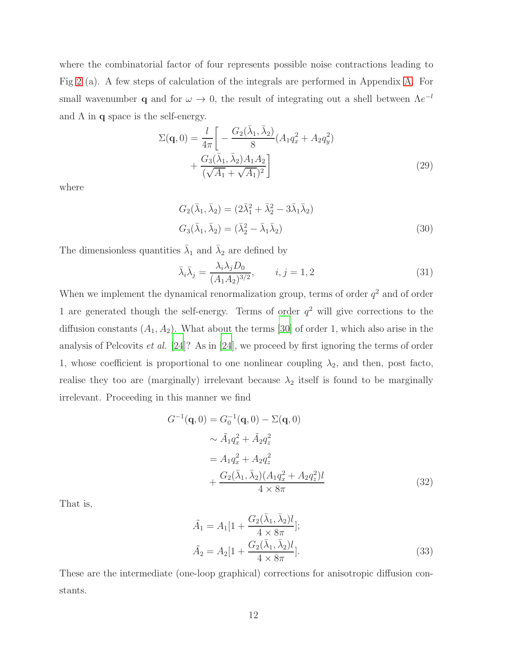where the combinatorial factor of four represents possible noise contractions leading to Fig [2](#page-10-0) (a). A few steps of calculation of the integrals are performed in Appendix [A.](#page-20-0) For small wavenumber **q** and for  $\omega \to 0$ , the result of integrating out a shell between  $\Lambda e^{-l}$ and  $\Lambda$  in q space is the self-energy.

$$
\Sigma(\mathbf{q},0) = \frac{l}{4\pi} \left[ -\frac{G_2(\bar{\lambda}_1, \bar{\lambda}_2)}{8} (A_1 q_x^2 + A_2 q_y^2) + \frac{G_3(\bar{\lambda}_1, \bar{\lambda}_2) A_1 A_2}{(\sqrt{A_1} + \sqrt{A_1})^2} \right]
$$
(29)

where

<span id="page-11-3"></span><span id="page-11-1"></span>
$$
G_2(\bar{\lambda}_1, \bar{\lambda}_2) = (2\bar{\lambda}_1^2 + \bar{\lambda}_2^2 - 3\bar{\lambda}_1\bar{\lambda}_2)
$$
  

$$
G_3(\bar{\lambda}_1, \bar{\lambda}_2) = (\bar{\lambda}_2^2 - \bar{\lambda}_1\bar{\lambda}_2)
$$
 (30)

The dimensionless quantities  $\bar{\lambda}_1$  and  $\bar{\lambda}_2$  are defined by

<span id="page-11-2"></span>
$$
\bar{\lambda}_i \bar{\lambda}_j = \frac{\lambda_i \lambda_j D_0}{(A_1 A_2)^{3/2}}, \qquad i, j = 1, 2
$$
\n(31)

When we implement the dynamical renormalization group, terms of order  $q^2$  and of order 1 are generated though the self-energy. Terms of order  $q^2$  will give corrections to the diffusion constants  $(A_1, A_2)$ . What about the terms [\[30](#page-29-11)] of order 1, which also arise in the analysis of Pelcovits et al. [\[24](#page-29-5)]? As in [\[24](#page-29-5)], we proceed by first ignoring the terms of order 1, whose coefficient is proportional to one nonlinear coupling  $\lambda_2$ , and then, post facto, realise they too are (marginally) irrelevant because  $\lambda_2$  itself is found to be marginally irrelevant. Proceeding in this manner we find

$$
G^{-1}(\mathbf{q}, 0) = G_0^{-1}(\mathbf{q}, 0) - \Sigma(\mathbf{q}, 0)
$$
  
\n
$$
\sim \tilde{A}_1 q_x^2 + \tilde{A}_2 q_z^2
$$
  
\n
$$
= A_1 q_x^2 + A_2 q_z^2
$$
  
\n
$$
+ \frac{G_2(\bar{\lambda}_1, \bar{\lambda}_2)(A_1 q_x^2 + A_2 q_z^2)l}{4 \times 8\pi}
$$
 (32)

That is,

<span id="page-11-0"></span>
$$
\tilde{A}_1 = A_1[1 + \frac{G_2(\bar{\lambda}_1, \bar{\lambda}_2)l}{4 \times 8\pi}]; \n\tilde{A}_2 = A_2[1 + \frac{G_2(\bar{\lambda}_1, \bar{\lambda}_2)l}{4 \times 8\pi}].
$$
\n(33)

These are the intermediate (one-loop graphical) corrections for anisotropic diffusion constants.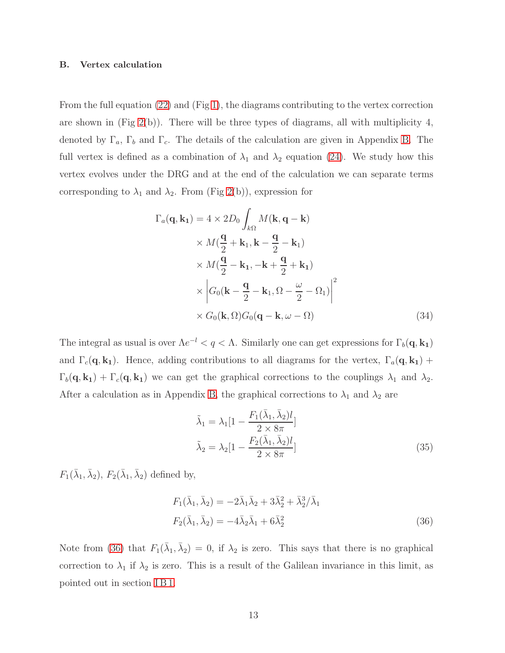#### B. Vertex calculation

From the full equation [\(22\)](#page-9-0) and (Fig [1\)](#page-9-1), the diagrams contributing to the vertex correction are shown in  $(Fig 2(b))$  $(Fig 2(b))$  $(Fig 2(b))$ . There will be three types of diagrams, all with multiplicity 4, denoted by  $\Gamma_a$ ,  $\Gamma_b$  and  $\Gamma_c$ . The details of the calculation are given in Appendix [B.](#page-22-0) The full vertex is defined as a combination of  $\lambda_1$  and  $\lambda_2$  equation [\(24\)](#page-9-3). We study how this vertex evolves under the DRG and at the end of the calculation we can separate terms corresponding to  $\lambda_1$  and  $\lambda_2$ . From (Fig [2\(](#page-10-0)b)), expression for

$$
\Gamma_a(\mathbf{q}, \mathbf{k_1}) = 4 \times 2D_0 \int_{k\Omega} M(\mathbf{k}, \mathbf{q} - \mathbf{k})
$$
  
 
$$
\times M(\frac{\mathbf{q}}{2} + \mathbf{k}_1, \mathbf{k} - \frac{\mathbf{q}}{2} - \mathbf{k}_1)
$$
  
 
$$
\times M(\frac{\mathbf{q}}{2} - \mathbf{k}_1, -\mathbf{k} + \frac{\mathbf{q}}{2} + \mathbf{k}_1)
$$
  
 
$$
\times \left| G_0(\mathbf{k} - \frac{\mathbf{q}}{2} - \mathbf{k}_1, \Omega - \frac{\omega}{2} - \Omega_1) \right|^2
$$
  
 
$$
\times G_0(\mathbf{k}, \Omega)G_0(\mathbf{q} - \mathbf{k}, \omega - \Omega)
$$
(34)

The integral as usual is over  $\Lambda e^{-l} < q < \Lambda$ . Similarly one can get expressions for  $\Gamma_b(\mathbf{q}, \mathbf{k_1})$ and  $\Gamma_c(\mathbf{q}, \mathbf{k_1})$ . Hence, adding contributions to all diagrams for the vertex,  $\Gamma_a(\mathbf{q}, \mathbf{k_1})$  +  $\Gamma_b(\mathbf{q}, \mathbf{k_1}) + \Gamma_c(\mathbf{q}, \mathbf{k_1})$  we can get the graphical corrections to the couplings  $\lambda_1$  and  $\lambda_2$ . After a calculation as in Appendix [B,](#page-22-0) the graphical corrections to  $\lambda_1$  and  $\lambda_2$  are

<span id="page-12-2"></span><span id="page-12-1"></span><span id="page-12-0"></span>
$$
\tilde{\lambda}_1 = \lambda_1 \left[ 1 - \frac{F_1(\bar{\lambda}_1, \bar{\lambda}_2)l}{2 \times 8\pi} \right]
$$

$$
\tilde{\lambda}_2 = \lambda_2 \left[ 1 - \frac{F_2(\bar{\lambda}_1, \bar{\lambda}_2)l}{2 \times 8\pi} \right]
$$
(35)

 $F_1(\bar{\lambda}_1, \bar{\lambda}_2), F_2(\bar{\lambda}_1, \bar{\lambda}_2)$  defined by,

$$
F_1(\bar{\lambda}_1, \bar{\lambda}_2) = -2\bar{\lambda}_1 \bar{\lambda}_2 + 3\bar{\lambda}_2^2 + \bar{\lambda}_2^3 / \bar{\lambda}_1
$$
  

$$
F_2(\bar{\lambda}_1, \bar{\lambda}_2) = -4\bar{\lambda}_2 \bar{\lambda}_1 + 6\bar{\lambda}_2^2
$$
 (36)

Note from [\(36\)](#page-12-0) that  $F_1(\bar{\lambda}_1, \bar{\lambda}_2) = 0$ , if  $\lambda_2$  is zero. This says that there is no graphical correction to  $\lambda_1$  if  $\lambda_2$  is zero. This is a result of the Galilean invariance in this limit, as pointed out in section [I B 1.](#page-7-3)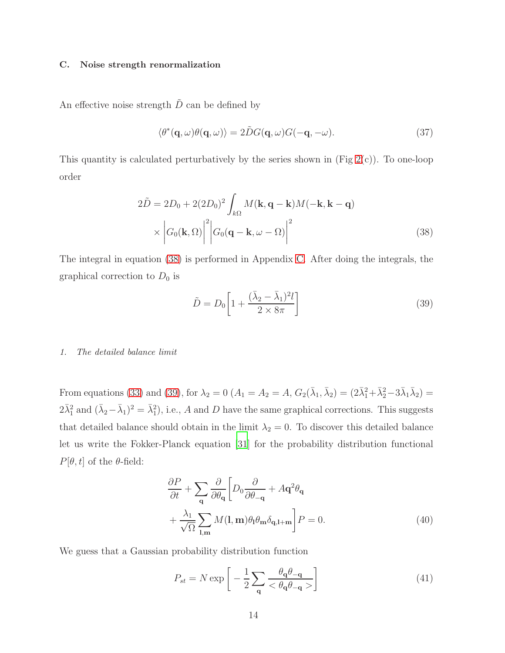## C. Noise strength renormalization

An effective noise strength  $\tilde{D}$  can be defined by

$$
\langle \theta^*(\mathbf{q}, \omega)\theta(\mathbf{q}, \omega) \rangle = 2\tilde{D}G(\mathbf{q}, \omega)G(-\mathbf{q}, -\omega). \tag{37}
$$

This quantity is calculated perturbatively by the series shown in (Fig  $2(c)$ ). To one-loop order

$$
2\tilde{D} = 2D_0 + 2(2D_0)^2 \int_{k\Omega} M(\mathbf{k}, \mathbf{q} - \mathbf{k}) M(-\mathbf{k}, \mathbf{k} - \mathbf{q})
$$

$$
\times \left| G_0(\mathbf{k}, \Omega) \right|^2 \left| G_0(\mathbf{q} - \mathbf{k}, \omega - \Omega) \right|^2 \tag{38}
$$

The integral in equation [\(38\)](#page-13-0) is performed in Appendix [C.](#page-26-0) After doing the integrals, the graphical correction to  $D_0$  is

<span id="page-13-1"></span><span id="page-13-0"></span>
$$
\tilde{D} = D_0 \left[ 1 + \frac{(\bar{\lambda}_2 - \bar{\lambda}_1)^2 l}{2 \times 8\pi} \right]
$$
\n(39)

#### *1. The detailed balance limit*

From equations [\(33\)](#page-11-0) and [\(39\)](#page-13-1), for  $\lambda_2 = 0$  ( $A_1 = A_2 = A$ ,  $G_2(\bar{\lambda}_1, \bar{\lambda}_2) = (2\bar{\lambda}_1^2 + \bar{\lambda}_2^2 - 3\bar{\lambda}_1 \bar{\lambda}_2) =$  $2\bar{\lambda}_1^2$  and  $(\bar{\lambda}_2 - \bar{\lambda}_1)^2 = \bar{\lambda}_1^2$ , i.e., A and D have the same graphical corrections. This suggests that detailed balance should obtain in the limit  $\lambda_2 = 0$ . To discover this detailed balance let us write the Fokker-Planck equation [\[31](#page-30-0)] for the probability distribution functional  $P[\theta, t]$  of the  $\theta$ -field:

$$
\frac{\partial P}{\partial t} + \sum_{\mathbf{q}} \frac{\partial}{\partial \theta_{\mathbf{q}}} \left[ D_0 \frac{\partial}{\partial \theta_{-\mathbf{q}}} + A \mathbf{q}^2 \theta_{\mathbf{q}} \right] \n+ \frac{\lambda_1}{\sqrt{\Omega}} \sum_{\mathbf{l}, \mathbf{m}} M(\mathbf{l}, \mathbf{m}) \theta_{\mathbf{l}} \theta_{\mathbf{m}} \delta_{\mathbf{q}, \mathbf{l} + \mathbf{m}} \right] P = 0.
$$
\n(40)

We guess that a Gaussian probability distribution function

<span id="page-13-3"></span><span id="page-13-2"></span>
$$
P_{st} = N \exp\left[-\frac{1}{2}\sum_{\mathbf{q}} \frac{\theta_{\mathbf{q}}\theta_{-\mathbf{q}}}{<\theta_{\mathbf{q}}\theta_{-\mathbf{q}}>} \right]
$$
(41)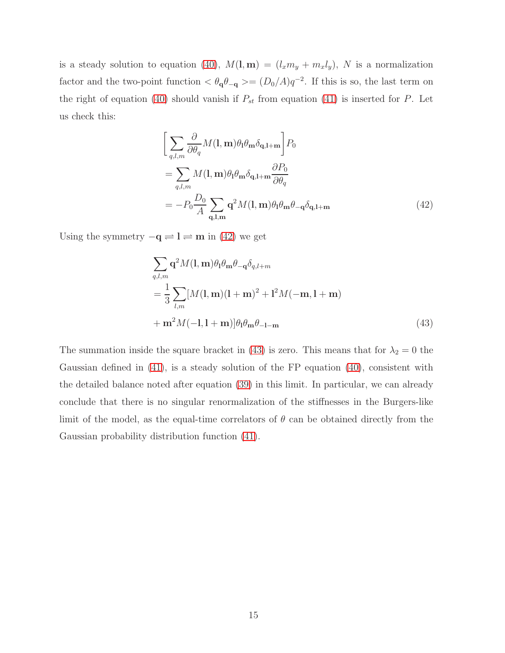is a steady solution to equation [\(40\)](#page-13-2),  $M(\mathbf{l}, \mathbf{m}) = (l_x m_y + m_x l_y)$ , N is a normalization factor and the two-point function  $\langle \theta_{\bf q} \theta_{\bf -q} \rangle = (D_0/A)q^{-2}$ . If this is so, the last term on the right of equation [\(40\)](#page-13-2) should vanish if  $P_{st}$  from equation [\(41\)](#page-13-3) is inserted for P. Let us check this:

<span id="page-14-0"></span>
$$
\left[\sum_{q,l,m} \frac{\partial}{\partial \theta_q} M(\mathbf{l}, \mathbf{m}) \theta_l \theta_{\mathbf{m}} \delta_{\mathbf{q}, \mathbf{l} + \mathbf{m}} \right] P_0
$$
  
= 
$$
\sum_{q,l,m} M(\mathbf{l}, \mathbf{m}) \theta_l \theta_{\mathbf{m}} \delta_{\mathbf{q}, \mathbf{l} + \mathbf{m}} \frac{\partial P_0}{\partial \theta_q}
$$
  
= 
$$
-P_0 \frac{D_0}{A} \sum_{\mathbf{q}, \mathbf{l}, \mathbf{m}} \mathbf{q}^2 M(\mathbf{l}, \mathbf{m}) \theta_l \theta_{\mathbf{m}} \theta_{-\mathbf{q}} \delta_{\mathbf{q}, \mathbf{l} + \mathbf{m}}
$$
(42)

Using the symmetry  $-q \rightleftharpoons l \rightleftharpoons m$  in [\(42\)](#page-14-0) we get

<span id="page-14-1"></span>
$$
\sum_{q,l,m} \mathbf{q}^2 M(\mathbf{l}, \mathbf{m}) \theta_1 \theta_{\mathbf{m}} \theta_{-\mathbf{q}} \delta_{q,l+m}
$$
  
= 
$$
\frac{1}{3} \sum_{l,m} [M(\mathbf{l}, \mathbf{m})(\mathbf{l} + \mathbf{m})^2 + \mathbf{l}^2 M(-\mathbf{m}, \mathbf{l} + \mathbf{m})
$$
  
+ 
$$
\mathbf{m}^2 M(-\mathbf{l}, \mathbf{l} + \mathbf{m})] \theta_1 \theta_{\mathbf{m}} \theta_{-\mathbf{l} - \mathbf{m}}
$$
(43)

The summation inside the square bracket in [\(43\)](#page-14-1) is zero. This means that for  $\lambda_2 = 0$  the Gaussian defined in  $(41)$ , is a steady solution of the FP equation  $(40)$ , consistent with the detailed balance noted after equation [\(39\)](#page-13-1) in this limit. In particular, we can already conclude that there is no singular renormalization of the stiffnesses in the Burgers-like limit of the model, as the equal-time correlators of  $\theta$  can be obtained directly from the Gaussian probability distribution function [\(41\)](#page-13-3).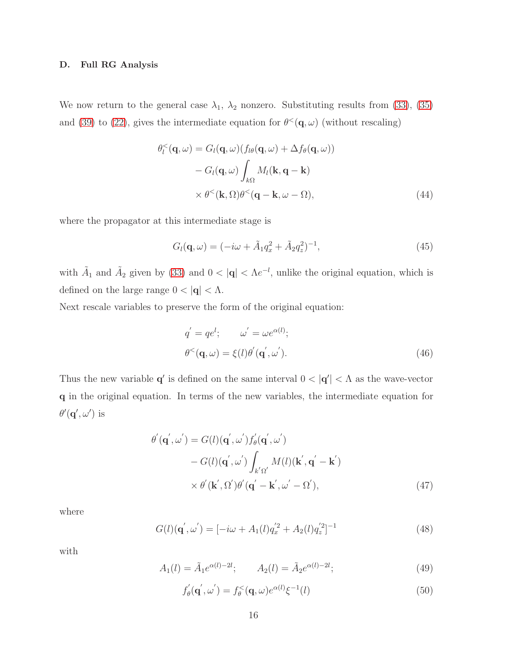## D. Full RG Analysis

We now return to the general case  $\lambda_1$ ,  $\lambda_2$  nonzero. Substituting results from [\(33\)](#page-11-0), [\(35\)](#page-12-1) and [\(39\)](#page-13-1) to [\(22\)](#page-9-0), gives the intermediate equation for  $\theta^{\lt}(\mathbf{q},\omega)$  (without rescaling)

$$
\theta_l^{\leq}(\mathbf{q}, \omega) = G_l(\mathbf{q}, \omega) (f_{l\theta}(\mathbf{q}, \omega) + \Delta f_{\theta}(\mathbf{q}, \omega)) \n- G_l(\mathbf{q}, \omega) \int_{k\Omega} M_l(\mathbf{k}, \mathbf{q} - \mathbf{k}) \n\times \theta^{\leq}(\mathbf{k}, \Omega) \theta^{\leq}(\mathbf{q} - \mathbf{k}, \omega - \Omega),
$$
\n(44)

where the propagator at this intermediate stage is

$$
G_l(\mathbf{q}, \omega) = (-i\omega + \tilde{A}_1 q_x^2 + \tilde{A}_2 q_z^2)^{-1},\tag{45}
$$

with  $\tilde{A}_1$  and  $\tilde{A}_2$  given by [\(33\)](#page-11-0) and  $0 < |\mathbf{q}| < \Lambda e^{-l}$ , unlike the original equation, which is defined on the large range  $0 < |\mathbf{q}| < \Lambda$ .

Next rescale variables to preserve the form of the original equation:

<span id="page-15-1"></span>
$$
q' = qe^l; \qquad \omega' = \omega e^{\alpha(l)}; \n\theta^<(\mathbf{q}, \omega) = \xi(l)\theta'(\mathbf{q}', \omega').
$$
\n(46)

Thus the new variable  $\mathbf{q}'$  is defined on the same interval  $0 < |\mathbf{q}'| < \Lambda$  as the wave-vector q in the original equation. In terms of the new variables, the intermediate equation for  $\theta'(\mathbf{q}', \omega')$  is

$$
\theta'(\mathbf{q}', \omega') = G(l)(\mathbf{q}', \omega')f'_{\theta}(\mathbf{q}', \omega')
$$
  
- 
$$
G(l)(\mathbf{q}', \omega') \int_{k'\Omega'} M(l)(\mathbf{k}', \mathbf{q}' - \mathbf{k}')
$$
  
× 
$$
\theta'(\mathbf{k}', \Omega')\theta'(\mathbf{q}' - \mathbf{k}', \omega' - \Omega'),
$$
 (47)

where

$$
G(l)(\mathbf{q}',\omega') = [-i\omega + A_1(l)q_x'^2 + A_2(l)q_z'^2]^{-1}
$$
\n(48)

with

$$
A_1(l) = \tilde{A}_1 e^{\alpha(l) - 2l}; \qquad A_2(l) = \tilde{A}_2 e^{\alpha(l) - 2l}; \tag{49}
$$

<span id="page-15-0"></span>
$$
f'_{\theta}(\mathbf{q}', \omega') = f_{\theta}^{<}(\mathbf{q}, \omega) e^{\alpha(l)} \xi^{-1}(l)
$$
\n(50)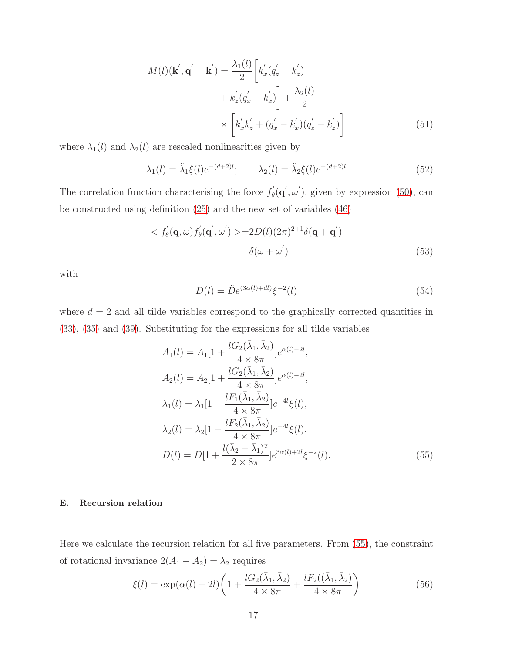$$
M(l)(\mathbf{k}', \mathbf{q}' - \mathbf{k}') = \frac{\lambda_1(l)}{2} \left[ k_x'(q_z' - k_z') + k_z'(q_x' - k_x') \right] + \frac{\lambda_2(l)}{2}
$$

$$
\times \left[ k_x' k_z' + (q_x' - k_x')(q_z' - k_z') \right]
$$
(51)

where  $\lambda_1(l)$  and  $\lambda_2(l)$  are rescaled nonlinearities given by

$$
\lambda_1(l) = \tilde{\lambda}_1 \xi(l) e^{-(d+2)l}; \qquad \lambda_2(l) = \tilde{\lambda}_2 \xi(l) e^{-(d+2)l}
$$
 (52)

The correlation function characterising the force  $f'_{\theta}$  $\phi'_{\theta}(\mathbf{q}', \omega')$ , given by expression [\(50\)](#page-15-0), can be constructed using definition [\(25\)](#page-9-2) and the new set of variables [\(46\)](#page-15-1)

$$
\langle f_{\theta}(\mathbf{q},\omega)f_{\theta}'(\mathbf{q}',\omega')\rangle = 2D(l)(2\pi)^{2+1}\delta(\mathbf{q}+\mathbf{q}')\qquad(53)
$$

with

<span id="page-16-0"></span>
$$
D(l) = \tilde{D}e^{(3\alpha(l) + dl)}\xi^{-2}(l)
$$
\n(54)

where  $d = 2$  and all tilde variables correspond to the graphically corrected quantities in [\(33\)](#page-11-0), [\(35\)](#page-12-1) and [\(39\)](#page-13-1). Substituting for the expressions for all tilde variables

$$
A_1(l) = A_1[1 + \frac{lG_2(\bar{\lambda}_1, \bar{\lambda}_2)}{4 \times 8\pi}]e^{\alpha(l) - 2l},
$$
  
\n
$$
A_2(l) = A_2[1 + \frac{lG_2(\bar{\lambda}_1, \bar{\lambda}_2)}{4 \times 8\pi}]e^{\alpha(l) - 2l},
$$
  
\n
$$
\lambda_1(l) = \lambda_1[1 - \frac{lF_1(\bar{\lambda}_1, \bar{\lambda}_2)}{4 \times 8\pi}]e^{-4l}\xi(l),
$$
  
\n
$$
\lambda_2(l) = \lambda_2[1 - \frac{lF_2(\bar{\lambda}_1, \bar{\lambda}_2)}{4 \times 8\pi}]e^{-4l}\xi(l),
$$
  
\n
$$
D(l) = D[1 + \frac{l(\bar{\lambda}_2 - \bar{\lambda}_1)^2}{2 \times 8\pi}]e^{3\alpha(l) + 2l}\xi^{-2}(l).
$$
\n(55)

# E. Recursion relation

Here we calculate the recursion relation for all five parameters. From [\(55\)](#page-16-0), the constraint of rotational invariance  $2(A_1 - A_2) = \lambda_2$  requires

$$
\xi(l) = \exp(\alpha(l) + 2l) \left( 1 + \frac{l G_2(\bar{\lambda}_1, \bar{\lambda}_2)}{4 \times 8\pi} + \frac{l F_2((\bar{\lambda}_1, \bar{\lambda}_2))}{4 \times 8\pi} \right) \tag{56}
$$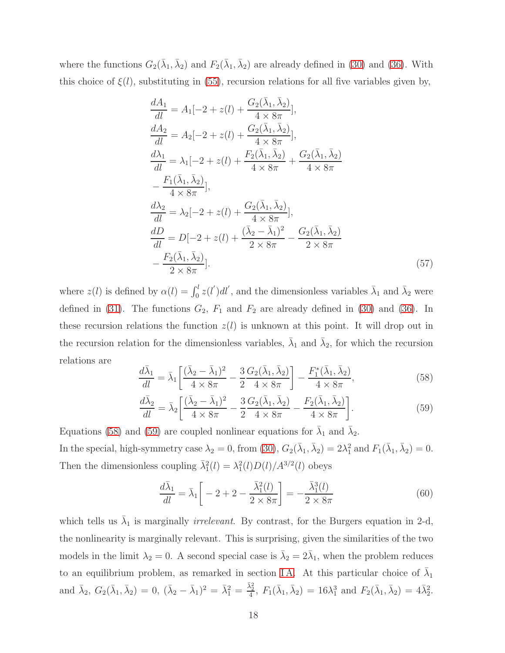where the functions  $G_2(\bar{\lambda}_1, \bar{\lambda}_2)$  and  $F_2(\bar{\lambda}_1, \bar{\lambda}_2)$  are already defined in [\(30\)](#page-11-1) and [\(36\)](#page-12-0). With this choice of  $\xi(l)$ , substituting in [\(55\)](#page-16-0), recursion relations for all five variables given by,

$$
\frac{dA_1}{dl} = A_1[-2 + z(l) + \frac{G_2(\bar{\lambda}_1, \bar{\lambda}_2)}{4 \times 8\pi}], \n\frac{dA_2}{dl} = A_2[-2 + z(l) + \frac{G_2(\bar{\lambda}_1, \bar{\lambda}_2)}{4 \times 8\pi}], \n\frac{d\lambda_1}{dl} = \lambda_1[-2 + z(l) + \frac{F_2(\bar{\lambda}_1, \bar{\lambda}_2)}{4 \times 8\pi} + \frac{G_2(\bar{\lambda}_1, \bar{\lambda}_2)}{4 \times 8\pi} - \frac{F_1(\bar{\lambda}_1, \bar{\lambda}_2)}{4 \times 8\pi}], \n\frac{d\lambda_2}{dl} = \lambda_2[-2 + z(l) + \frac{G_2(\bar{\lambda}_1, \bar{\lambda}_2)}{4 \times 8\pi}], \n\frac{dD}{dl} = D[-2 + z(l) + \frac{(\bar{\lambda}_2 - \bar{\lambda}_1)^2}{2 \times 8\pi} - \frac{G_2(\bar{\lambda}_1, \bar{\lambda}_2)}{2 \times 8\pi} - \frac{F_2(\bar{\lambda}_1, \bar{\lambda}_2)}{2 \times 8\pi}].
$$
\n(57)

where  $z(l)$  is defined by  $\alpha(l) = \int_0^l z(l')dl'$ , and the dimensionless variables  $\bar{\lambda}_1$  and  $\bar{\lambda}_2$  were defined in [\(31\)](#page-11-2). The functions  $G_2$ ,  $F_1$  and  $F_2$  are already defined in [\(30\)](#page-11-1) and [\(36\)](#page-12-0). In these recursion relations the function  $z(l)$  is unknown at this point. It will drop out in the recursion relation for the dimensionless variables,  $\bar{\lambda}_1$  and  $\bar{\lambda}_2$ , for which the recursion relations are

<span id="page-17-0"></span>
$$
\frac{d\bar{\lambda}_1}{dl} = \bar{\lambda}_1 \left[ \frac{(\bar{\lambda}_2 - \bar{\lambda}_1)^2}{4 \times 8\pi} - \frac{3}{2} \frac{G_2(\bar{\lambda}_1, \bar{\lambda}_2)}{4 \times 8\pi} \right] - \frac{F_1^*(\bar{\lambda}_1, \bar{\lambda}_2)}{4 \times 8\pi},\tag{58}
$$

<span id="page-17-1"></span>
$$
\frac{d\bar{\lambda}_2}{dl} = \bar{\lambda}_2 \left[ \frac{(\bar{\lambda}_2 - \bar{\lambda}_1)^2}{4 \times 8\pi} - \frac{3}{2} \frac{G_2(\bar{\lambda}_1, \bar{\lambda}_2)}{4 \times 8\pi} - \frac{F_2(\bar{\lambda}_1, \bar{\lambda}_2)}{4 \times 8\pi} \right].
$$
\n(59)

Equations [\(58\)](#page-17-0) and [\(59\)](#page-17-1) are coupled nonlinear equations for  $\bar{\lambda}_1$  and  $\bar{\lambda}_2$ . In the special, high-symmetry case  $\lambda_2 = 0$ , from [\(30\)](#page-11-1),  $G_2(\bar{\lambda}_1, \bar{\lambda}_2) = 2\lambda_1^2$  and  $F_1(\bar{\lambda}_1, \bar{\lambda}_2) = 0$ . Then the dimensionless coupling  $\bar{\lambda}_1^2(l) = \lambda_1^2(l)D(l)/A^{3/2}(l)$  obeys

$$
\frac{d\bar{\lambda}_1}{dl} = \bar{\lambda}_1 \left[ -2 + 2 - \frac{\bar{\lambda}_1^2(l)}{2 \times 8\pi} \right] = -\frac{\bar{\lambda}_1^3(l)}{2 \times 8\pi} \tag{60}
$$

which tells us  $\bar{\lambda}_1$  is marginally *irrelevant*. By contrast, for the Burgers equation in 2-d, the nonlinearity is marginally relevant. This is surprising, given the similarities of the two models in the limit  $\lambda_2 = 0$ . A second special case is  $\bar{\lambda}_2 = 2\bar{\lambda}_1$ , when the problem reduces to an equilibrium problem, as remarked in section IA. At this particular choice of  $\bar{\lambda}_1$ and  $\bar{\lambda}_2$ ,  $G_2(\bar{\lambda}_1, \bar{\lambda}_2) = 0$ ,  $(\bar{\lambda}_2 - \bar{\lambda}_1)^2 = \bar{\lambda}_1^2 = \frac{\bar{\lambda}_2^2}{4}$ ,  $F_1(\bar{\lambda}_1, \bar{\lambda}_2) = 16\lambda_1^3$  and  $F_2(\bar{\lambda}_1, \bar{\lambda}_2) = 4\bar{\lambda}_2^2$ .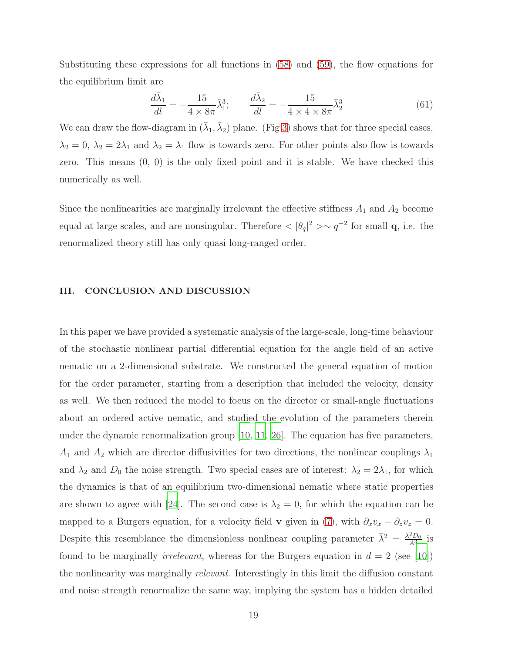Substituting these expressions for all functions in [\(58\)](#page-17-0) and [\(59\)](#page-17-1), the flow equations for the equilibrium limit are

$$
\frac{d\bar{\lambda}_1}{dl} = -\frac{15}{4 \times 8\pi} \bar{\lambda}_1^3; \qquad \frac{d\bar{\lambda}_2}{dl} = -\frac{15}{4 \times 4 \times 8\pi} \bar{\lambda}_2^3 \tag{61}
$$

We can draw the flow-diagram in  $(\bar{\lambda}_1, \bar{\lambda}_2)$  plane. (Fig [3\)](#page-19-0) shows that for three special cases,  $\lambda_2 = 0$ ,  $\lambda_2 = 2\lambda_1$  and  $\lambda_2 = \lambda_1$  flow is towards zero. For other points also flow is towards zero. This means (0, 0) is the only fixed point and it is stable. We have checked this numerically as well.

Since the nonlinearities are marginally irrelevant the effective stiffness  $A_1$  and  $A_2$  become equal at large scales, and are nonsingular. Therefore  $< |\theta_q|^2 > \sim q^{-2}$  for small **q**, i.e. the renormalized theory still has only quasi long-ranged order.

#### <span id="page-18-0"></span>III. CONCLUSION AND DISCUSSION

In this paper we have provided a systematic analysis of the large-scale, long-time behaviour of the stochastic nonlinear partial differential equation for the angle field of an active nematic on a 2-dimensional substrate. We constructed the general equation of motion for the order parameter, starting from a description that included the velocity, density as well. We then reduced the model to focus on the director or small-angle fluctuations about an ordered active nematic, and studied the evolution of the parameters therein under the dynamic renormalization group [\[10](#page-28-8), [11](#page-28-9), [26\]](#page-29-7). The equation has five parameters,  $A_1$  and  $A_2$  which are director diffusivities for two directions, the nonlinear couplings  $\lambda_1$ and  $\lambda_2$  and  $D_0$  the noise strength. Two special cases are of interest:  $\lambda_2 = 2\lambda_1$ , for which the dynamics is that of an equilibrium two-dimensional nematic where static properties are shown to agree with [\[24\]](#page-29-5). The second case is  $\lambda_2 = 0$ , for which the equation can be mapped to a Burgers equation, for a velocity field **v** given in [\(7\)](#page-5-1), with  $\partial_x v_x - \partial_z v_z = 0$ . Despite this resemblance the dimensionless nonlinear coupling parameter  $\bar{\lambda}^2 = \frac{\lambda^2 D_0}{A^3}$  is found to be marginally *irrelevant*, whereas for the Burgers equation in  $d = 2$  (see [\[10\]](#page-28-8)) the nonlinearity was marginally relevant. Interestingly in this limit the diffusion constant and noise strength renormalize the same way, implying the system has a hidden detailed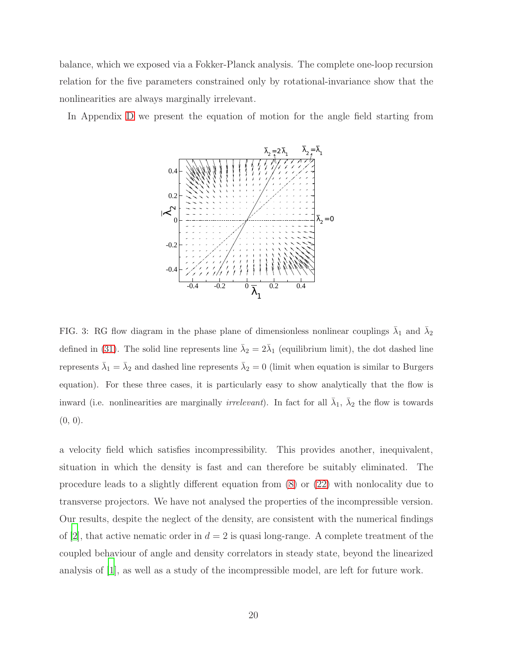balance, which we exposed via a Fokker-Planck analysis. The complete one-loop recursion relation for the five parameters constrained only by rotational-invariance show that the nonlinearities are always marginally irrelevant.

In Appendix [D](#page-27-1) we present the equation of motion for the angle field starting from



<span id="page-19-0"></span>FIG. 3: RG flow diagram in the phase plane of dimensionless nonlinear couplings  $\bar{\lambda}_1$  and  $\bar{\lambda}_2$ defined in [\(31\)](#page-11-2). The solid line represents line  $\bar{\lambda}_2 = 2\bar{\lambda}_1$  (equilibrium limit), the dot dashed line represents  $\bar{\lambda}_1 = \bar{\lambda}_2$  and dashed line represents  $\bar{\lambda}_2 = 0$  (limit when equation is similar to Burgers equation). For these three cases, it is particularly easy to show analytically that the flow is inward (i.e. nonlinearities are marginally *irrelevant*). In fact for all  $\bar{\lambda}_1$ ,  $\bar{\lambda}_2$  the flow is towards  $(0, 0)$ .

a velocity field which satisfies incompressibility. This provides another, inequivalent, situation in which the density is fast and can therefore be suitably eliminated. The procedure leads to a slightly different equation from [\(8\)](#page-5-2) or [\(22\)](#page-9-0) with nonlocality due to transverse projectors. We have not analysed the properties of the incompressible version. Our results, despite the neglect of the density, are consistent with the numerical findings of [\[2\]](#page-28-0), that active nematic order in  $d = 2$  is quasi long-range. A complete treatment of the coupled behaviour of angle and density correlators in steady state, beyond the linearized analysis of [\[1](#page-27-0)], as well as a study of the incompressible model, are left for future work.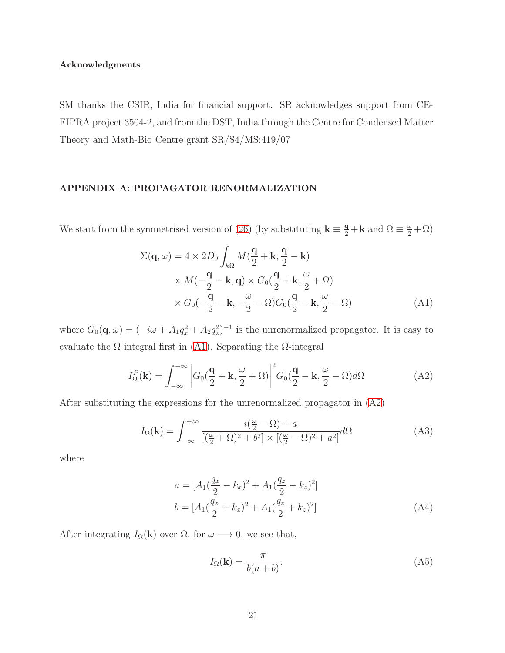## Acknowledgments

SM thanks the CSIR, India for financial support. SR acknowledges support from CE-FIPRA project 3504-2, and from the DST, India through the Centre for Condensed Matter Theory and Math-Bio Centre grant SR/S4/MS:419/07

## <span id="page-20-0"></span>APPENDIX A: PROPAGATOR RENORMALIZATION

We start from the symmetrised version of [\(26\)](#page-10-1) (by substituting  $\mathbf{k} \equiv \frac{\mathbf{q}}{2} + \mathbf{k}$  and  $\Omega \equiv \frac{\omega}{2} + \Omega$ )

<span id="page-20-1"></span>
$$
\Sigma(\mathbf{q}, \omega) = 4 \times 2D_0 \int_{k\Omega} M(\frac{\mathbf{q}}{2} + \mathbf{k}, \frac{\mathbf{q}}{2} - \mathbf{k})
$$
  
 
$$
\times M(-\frac{\mathbf{q}}{2} - \mathbf{k}, \mathbf{q}) \times G_0(\frac{\mathbf{q}}{2} + \mathbf{k}, \frac{\omega}{2} + \Omega)
$$
  
 
$$
\times G_0(-\frac{\mathbf{q}}{2} - \mathbf{k}, -\frac{\omega}{2} - \Omega)G_0(\frac{\mathbf{q}}{2} - \mathbf{k}, \frac{\omega}{2} - \Omega)
$$
 (A1)

where  $G_0(\mathbf{q}, \omega) = (-i\omega + A_1 q_x^2 + A_2 q_z^2)^{-1}$  is the unrenormalized propagator. It is easy to evaluate the  $\Omega$  integral first in [\(A1\)](#page-20-1). Separating the  $\Omega$ -integral

<span id="page-20-2"></span>
$$
I_{\Omega}^{P}(\mathbf{k}) = \int_{-\infty}^{+\infty} \left| G_{0}(\frac{\mathbf{q}}{2} + \mathbf{k}, \frac{\omega}{2} + \Omega) \right|^{2} G_{0}(\frac{\mathbf{q}}{2} - \mathbf{k}, \frac{\omega}{2} - \Omega) d\Omega \tag{A2}
$$

After substituting the expressions for the unrenormalized propagator in [\(A2\)](#page-20-2)

$$
I_{\Omega}(\mathbf{k}) = \int_{-\infty}^{+\infty} \frac{i(\frac{\omega}{2} - \Omega) + a}{[(\frac{\omega}{2} + \Omega)^2 + b^2] \times [(\frac{\omega}{2} - \Omega)^2 + a^2]} d\Omega
$$
 (A3)

where

$$
a = [A_1(\frac{q_x}{2} - k_x)^2 + A_1(\frac{q_z}{2} - k_z)^2]
$$
  

$$
b = [A_1(\frac{q_x}{2} + k_x)^2 + A_1(\frac{q_z}{2} + k_z)^2]
$$
 (A4)

After integrating  $I_{\Omega}(\mathbf{k})$  over  $\Omega$ , for  $\omega \longrightarrow 0$ , we see that,

<span id="page-20-3"></span>
$$
I_{\Omega}(\mathbf{k}) = \frac{\pi}{b(a+b)}.\tag{A5}
$$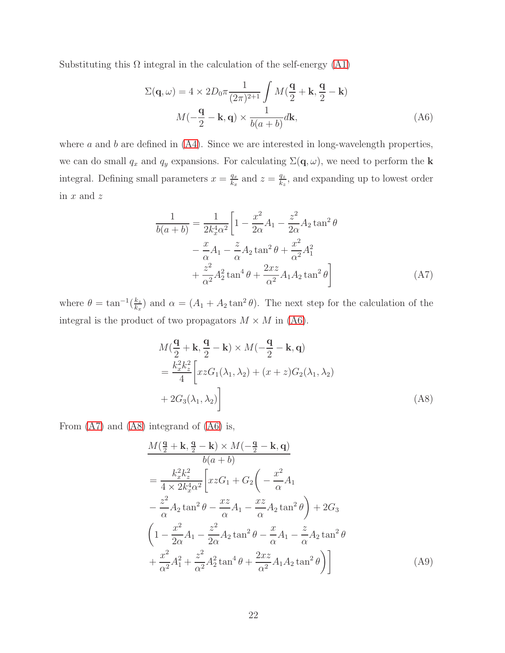Substituting this  $\Omega$  integral in the calculation of the self-energy [\(A1\)](#page-20-1)

<span id="page-21-0"></span>
$$
\Sigma(\mathbf{q}, \omega) = 4 \times 2D_0 \pi \frac{1}{(2\pi)^{2+1}} \int M(\frac{\mathbf{q}}{2} + \mathbf{k}, \frac{\mathbf{q}}{2} - \mathbf{k})
$$

$$
M(-\frac{\mathbf{q}}{2} - \mathbf{k}, \mathbf{q}) \times \frac{1}{b(a+b)} d\mathbf{k},
$$
(A6)

where  $a$  and  $b$  are defined in  $(A4)$ . Since we are interested in long-wavelength properties, we can do small  $q_x$  and  $q_y$  expansions. For calculating  $\Sigma(\mathbf{q}, \omega)$ , we need to perform the **k** integral. Defining small parameters  $x = \frac{q_x}{k_x}$  $\frac{q_x}{k_x}$  and  $z = \frac{q_z}{k_z}$  $\frac{q_z}{k_z}$ , and expanding up to lowest order in  $x$  and  $z$ 

<span id="page-21-1"></span>
$$
\frac{1}{b(a+b)} = \frac{1}{2k_x^4 \alpha^2} \left[ 1 - \frac{x^2}{2\alpha} A_1 - \frac{z^2}{2\alpha} A_2 \tan^2 \theta \right. \n- \frac{x}{\alpha} A_1 - \frac{z}{\alpha} A_2 \tan^2 \theta + \frac{x^2}{\alpha^2} A_1^2 \n+ \frac{z^2}{\alpha^2} A_2^2 \tan^4 \theta + \frac{2xz}{\alpha^2} A_1 A_2 \tan^2 \theta \right]
$$
\n(A7)

where  $\theta = \tan^{-1}(\frac{k_z}{k_z})$  $\frac{k_z}{k_x}$ ) and  $\alpha = (A_1 + A_2 \tan^2 \theta)$ . The next step for the calculation of the integral is the product of two propagators  $M \times M$  in [\(A6\)](#page-21-0).

<span id="page-21-2"></span>
$$
M\left(\frac{\mathbf{q}}{2} + \mathbf{k}, \frac{\mathbf{q}}{2} - \mathbf{k}\right) \times M\left(-\frac{\mathbf{q}}{2} - \mathbf{k}, \mathbf{q}\right)
$$
  
= 
$$
\frac{k_x^2 k_z^2}{4} \left[ xzG_1(\lambda_1, \lambda_2) + (x+z)G_2(\lambda_1, \lambda_2) + 2G_3(\lambda_1, \lambda_2) \right]
$$
 (A8)

From [\(A7\)](#page-21-1) and [\(A8\)](#page-21-2) integrand of [\(A6\)](#page-21-0) is,

$$
\frac{M(\frac{\mathbf{q}}{2} + \mathbf{k}, \frac{\mathbf{q}}{2} - \mathbf{k}) \times M(-\frac{\mathbf{q}}{2} - \mathbf{k}, \mathbf{q})}{b(a+b)}
$$
\n
$$
= \frac{k_x^2 k_z^2}{4 \times 2k_x^4 \alpha^2} \left[ xzG_1 + G_2 \left( -\frac{x^2}{\alpha} A_1 - \frac{z^2}{\alpha} A_2 \tan^2 \theta \right) + 2G_3 \right.
$$
\n
$$
\left( 1 - \frac{x^2}{2\alpha} A_1 - \frac{z^2}{2\alpha} A_2 \tan^2 \theta - \frac{x}{\alpha} A_1 - \frac{z}{\alpha} A_2 \tan^2 \theta \right.
$$
\n
$$
+ \frac{x^2}{\alpha^2} A_1^2 + \frac{z^2}{\alpha^2} A_2^2 \tan^4 \theta + \frac{2xz}{\alpha^2} A_1 A_2 \tan^2 \theta \right) \tag{A9}
$$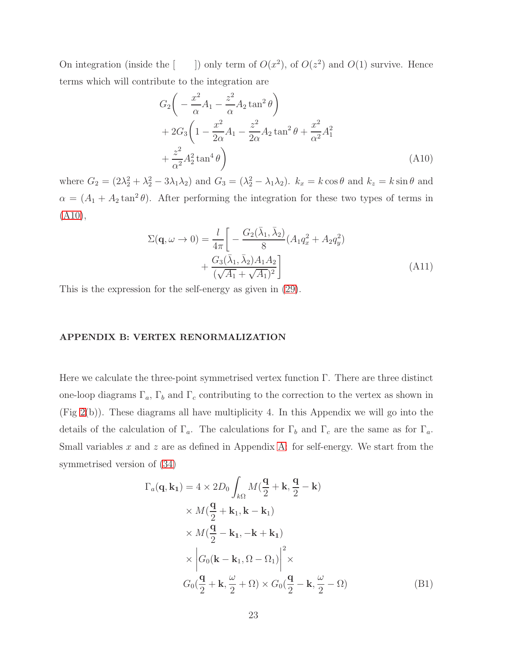On integration (inside the  $\lceil$ ) <sup>2</sup>), of  $O(z^2)$  and  $O(1)$  survive. Hence terms which will contribute to the integration are

<span id="page-22-1"></span>
$$
G_2\left(-\frac{x^2}{\alpha}A_1 - \frac{z^2}{\alpha}A_2\tan^2\theta\right) + 2G_3\left(1 - \frac{x^2}{2\alpha}A_1 - \frac{z^2}{2\alpha}A_2\tan^2\theta + \frac{x^2}{\alpha^2}A_1^2\right) + \frac{z^2}{\alpha^2}A_2^2\tan^4\theta\right)
$$
(A10)

where  $G_2 = (2\lambda_2^2 + \lambda_2^2 - 3\lambda_1\lambda_2)$  and  $G_3 = (\lambda_2^2 - \lambda_1\lambda_2)$ .  $k_x = k \cos \theta$  and  $k_z = k \sin \theta$  and  $\alpha = (A_1 + A_2 \tan^2 \theta)$ . After performing the integration for these two types of terms in  $(A10),$  $(A10),$ 

$$
\Sigma(\mathbf{q}, \omega \to 0) = \frac{l}{4\pi} \left[ -\frac{G_2(\bar{\lambda}_1, \bar{\lambda}_2)}{8} (A_1 q_x^2 + A_2 q_y^2) + \frac{G_3(\bar{\lambda}_1, \bar{\lambda}_2) A_1 A_2}{(\sqrt{A_1} + \sqrt{A_1})^2} \right]
$$
(A11)

This is the expression for the self-energy as given in [\(29\)](#page-11-3).

### <span id="page-22-0"></span>APPENDIX B: VERTEX RENORMALIZATION

Here we calculate the three-point symmetrised vertex function Γ. There are three distinct one-loop diagrams  $\Gamma_a$ ,  $\Gamma_b$  and  $\Gamma_c$  contributing to the correction to the vertex as shown in (Fig [2\(](#page-10-0)b)). These diagrams all have multiplicity 4. In this Appendix we will go into the details of the calculation of  $\Gamma_a$ . The calculations for  $\Gamma_b$  and  $\Gamma_c$  are the same as for  $\Gamma_a$ . Small variables  $x$  and  $z$  are as defined in Appendix [A:](#page-20-0) for self-energy. We start from the symmetrised version of [\(34\)](#page-12-2)

<span id="page-22-2"></span>
$$
\Gamma_a(\mathbf{q}, \mathbf{k_1}) = 4 \times 2D_0 \int_{k\Omega} M(\frac{\mathbf{q}}{2} + \mathbf{k}, \frac{\mathbf{q}}{2} - \mathbf{k})
$$
  
 
$$
\times M(\frac{\mathbf{q}}{2} + \mathbf{k_1}, \mathbf{k} - \mathbf{k_1})
$$
  
 
$$
\times M(\frac{\mathbf{q}}{2} - \mathbf{k_1}, -\mathbf{k} + \mathbf{k_1})
$$
  
 
$$
\times \left| G_0(\mathbf{k} - \mathbf{k_1}, \Omega - \Omega_1) \right|^2 \times
$$
  
 
$$
G_0(\frac{\mathbf{q}}{2} + \mathbf{k}, \frac{\omega}{2} + \Omega) \times G_0(\frac{\mathbf{q}}{2} - \mathbf{k}, \frac{\omega}{2} - \Omega)
$$
 (B1)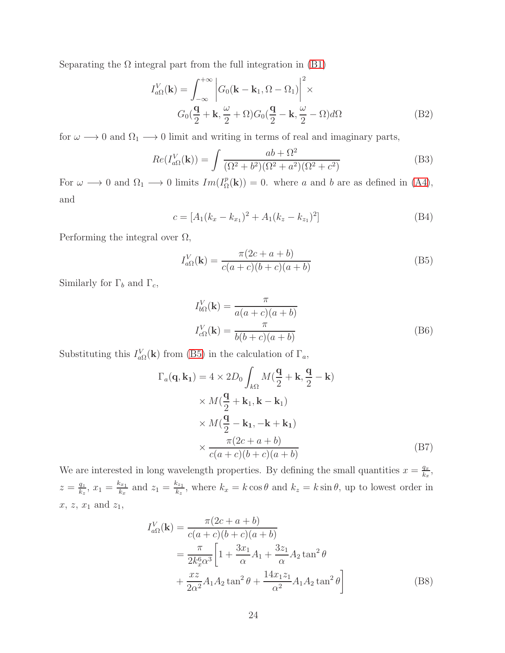Separating the  $\Omega$  integral part from the full integration in [\(B1\)](#page-22-2)

$$
I_{a\Omega}^{V}(\mathbf{k}) = \int_{-\infty}^{+\infty} \left| G_0(\mathbf{k} - \mathbf{k}_1, \Omega - \Omega_1) \right|^2 \times
$$
  

$$
G_0(\frac{\mathbf{q}}{2} + \mathbf{k}, \frac{\omega}{2} + \Omega) G_0(\frac{\mathbf{q}}{2} - \mathbf{k}, \frac{\omega}{2} - \Omega) d\Omega
$$
 (B2)

for  $\omega \longrightarrow 0$  and  $\Omega_1 \longrightarrow 0$  limit and writing in terms of real and imaginary parts,

$$
Re(I_{a\Omega}^V(\mathbf{k})) = \int \frac{ab + \Omega^2}{(\Omega^2 + b^2)(\Omega^2 + a^2)(\Omega^2 + c^2)}
$$
(B3)

For  $\omega \longrightarrow 0$  and  $\Omega_1 \longrightarrow 0$  limits  $Im(I^p_{\Omega})$  $\mathcal{L}_{\Omega}^{p}(\mathbf{k})$  = 0. where a and b are as defined in [\(A4\)](#page-20-3), and

$$
c = [A_1(k_x - k_{x_1})^2 + A_1(k_z - k_{z_1})^2]
$$
 (B4)

Performing the integral over  $\Omega$ ,

<span id="page-23-0"></span>
$$
I_{a\Omega}^V(\mathbf{k}) = \frac{\pi(2c + a + b)}{c(a + c)(b + c)(a + b)}
$$
(B5)

Similarly for  $\Gamma_b$  and  $\Gamma_c$ ,

$$
I_{b\Omega}^V(\mathbf{k}) = \frac{\pi}{a(a+c)(a+b)}
$$

$$
I_{c\Omega}^V(\mathbf{k}) = \frac{\pi}{b(b+c)(a+b)}
$$
(B6)

Substituting this  $I_{a\Omega}^V(\mathbf{k})$  from [\(B5\)](#page-23-0) in the calculation of  $\Gamma_a$ ,

$$
\Gamma_a(\mathbf{q}, \mathbf{k_1}) = 4 \times 2D_0 \int_{k\Omega} M(\frac{\mathbf{q}}{2} + \mathbf{k}, \frac{\mathbf{q}}{2} - \mathbf{k})
$$
  
 
$$
\times M(\frac{\mathbf{q}}{2} + \mathbf{k_1}, \mathbf{k} - \mathbf{k_1})
$$
  
 
$$
\times M(\frac{\mathbf{q}}{2} - \mathbf{k_1}, -\mathbf{k} + \mathbf{k_1})
$$
  
 
$$
\times \frac{\pi(2c + a + b)}{c(a + c)(b + c)(a + b)}
$$
 (B7)

We are interested in long wavelength properties. By defining the small quantities  $x = \frac{q_x}{k_x}$  $\frac{q_x}{k_x}$  $z=\frac{q_z}{k_z}$  $\frac{q_z}{k_z}, x_1 = \frac{k_{x_1}}{k_x}$  $\frac{k_{x_1}}{k_x}$  and  $z_1 = \frac{k_{z_1}}{k_z}$  $\frac{k_{z_1}}{k_z}$ , where  $k_x = k \cos \theta$  and  $k_z = k \sin \theta$ , up to lowest order in  $x, z, x_1$  and  $z_1$ ,

<span id="page-23-1"></span>
$$
I_{a\Omega}^{V}(\mathbf{k}) = \frac{\pi (2c + a + b)}{c(a + c)(b + c)(a + b)}
$$
  
=  $\frac{\pi}{2k_x^6 \alpha^3} \left[ 1 + \frac{3x_1}{\alpha} A_1 + \frac{3z_1}{\alpha} A_2 \tan^2 \theta + \frac{xz}{2\alpha^2} A_1 A_2 \tan^2 \theta + \frac{14x_1 z_1}{\alpha^2} A_1 A_2 \tan^2 \theta \right]$  (B8)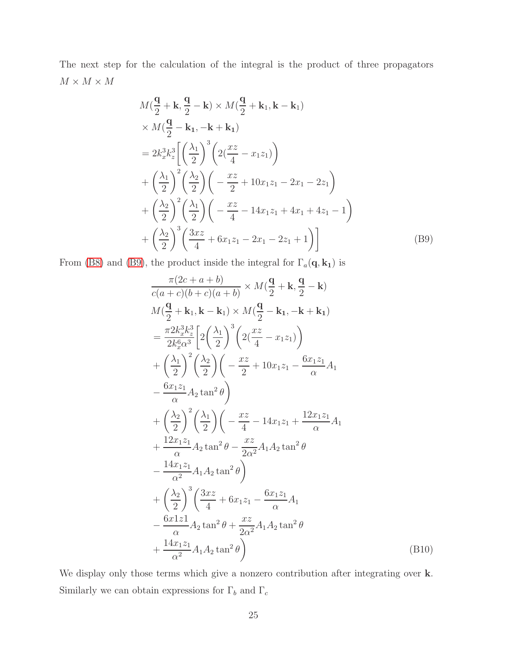The next step for the calculation of the integral is the product of three propagators  $M\times M\times M$ 

$$
M\left(\frac{q}{2} + k, \frac{q}{2} - k\right) \times M\left(\frac{q}{2} + k_1, k - k_1\right) \times M\left(\frac{q}{2} - k_1, -k + k_1\right) = 2k_x^3 k_z^3 \left[ \left(\frac{\lambda_1}{2}\right)^3 \left(2\left(\frac{xz}{4} - x_1 z_1\right)\right) + \left(\frac{\lambda_1}{2}\right)^2 \left(\frac{\lambda_2}{2}\right) \left(-\frac{xz}{2} + 10x_1 z_1 - 2x_1 - 2z_1\right) + \left(\frac{\lambda_2}{2}\right)^2 \left(\frac{\lambda_1}{2}\right) \left(-\frac{xz}{4} - 14x_1 z_1 + 4x_1 + 4z_1 - 1\right) + \left(\frac{\lambda_2}{2}\right)^3 \left(\frac{3xz}{4} + 6x_1 z_1 - 2x_1 - 2z_1 + 1\right) \right]
$$
(B9)

From [\(B8\)](#page-23-1) and [\(B9\)](#page-24-0), the product inside the integral for  $\Gamma_a({\bf q},{\bf k_1})$  is

<span id="page-24-0"></span>
$$
\frac{\pi(2c+a+b)}{c(a+c)(b+c)(a+b)} \times M(\frac{\mathbf{q}}{2} + \mathbf{k}, \frac{\mathbf{q}}{2} - \mathbf{k})
$$
  
\n
$$
M(\frac{\mathbf{q}}{2} + \mathbf{k}_1, \mathbf{k} - \mathbf{k}_1) \times M(\frac{\mathbf{q}}{2} - \mathbf{k}_1, -\mathbf{k} + \mathbf{k}_1)
$$
  
\n
$$
= \frac{\pi 2k_x^3 k_z^3}{2k_x^6 \alpha^3} \left[ 2\left(\frac{\lambda_1}{2}\right)^3 \left( 2(\frac{xz}{4} - x_1 z_1) \right) + \left(\frac{\lambda_1}{2}\right)^2 \left(\frac{\lambda_2}{2}\right) \left( -\frac{xz}{2} + 10x_1 z_1 - \frac{6x_1 z_1}{\alpha} A_1 \right) - \frac{6x_1 z_1}{\alpha} A_2 \tan^2 \theta \right)
$$
  
\n
$$
+ \left(\frac{\lambda_2}{2}\right)^2 \left(\frac{\lambda_1}{2}\right) \left( -\frac{xz}{4} - 14x_1 z_1 + \frac{12x_1 z_1}{\alpha} A_1 \right)
$$
  
\n
$$
+ \frac{12x_1 z_1}{\alpha} A_2 \tan^2 \theta - \frac{xz}{2\alpha^2} A_1 A_2 \tan^2 \theta
$$
  
\n
$$
- \frac{14x_1 z_1}{\alpha^2} A_1 A_2 \tan^2 \theta \right)
$$
  
\n
$$
+ \left(\frac{\lambda_2}{2}\right)^3 \left(\frac{3xz}{4} + 6x_1 z_1 - \frac{6x_1 z_1}{\alpha} A_1 \right)
$$
  
\n
$$
- \frac{6x_1 z_1}{\alpha} A_2 \tan^2 \theta + \frac{xz}{2\alpha^2} A_1 A_2 \tan^2 \theta
$$
  
\n
$$
+ \frac{14x_1 z_1}{\alpha^2} A_1 A_2 \tan^2 \theta \right)
$$
 (B10)

We display only those terms which give a nonzero contribution after integrating over k. Similarly we can obtain expressions for  $\Gamma_b$  and  $\Gamma_c$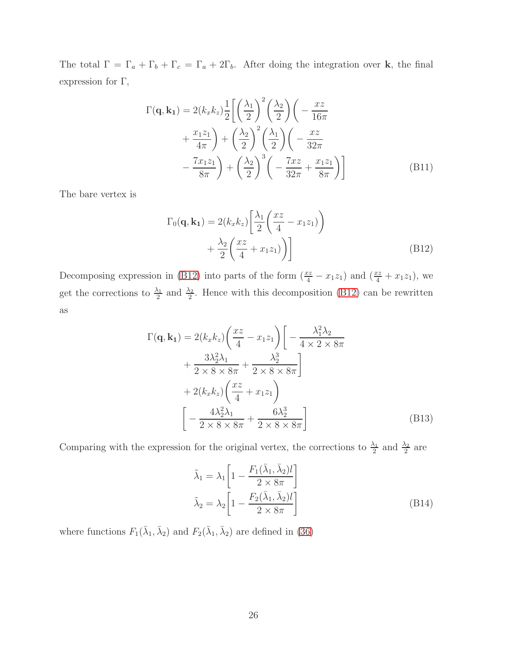The total  $\Gamma = \Gamma_a + \Gamma_b + \Gamma_c = \Gamma_a + 2\Gamma_b$ . After doing the integration over **k**, the final expression for  $\Gamma,$ 

$$
\Gamma(\mathbf{q}, \mathbf{k_1}) = 2(k_x k_z) \frac{1}{2} \left[ \left(\frac{\lambda_1}{2}\right)^2 \left(\frac{\lambda_2}{2}\right) \left(-\frac{xz}{16\pi} + \frac{x_1 z_1}{4\pi}\right) + \left(\frac{\lambda_2}{2}\right)^2 \left(\frac{\lambda_1}{2}\right) \left(-\frac{xz}{32\pi} - \frac{7x_1 z_1}{8\pi}\right) + \left(\frac{\lambda_2}{2}\right)^3 \left(-\frac{7xz}{32\pi} + \frac{x_1 z_1}{8\pi}\right) \right]
$$
\n(B11)

The bare vertex is

<span id="page-25-0"></span>
$$
\Gamma_0(\mathbf{q}, \mathbf{k_1}) = 2(k_x k_z) \left[ \frac{\lambda_1}{2} \left( \frac{xz}{4} - x_1 z_1 \right) \right] + \frac{\lambda_2}{2} \left( \frac{xz}{4} + x_1 z_1 \right) \right]
$$
\n(B12)

Decomposing expression in [\(B12\)](#page-25-0) into parts of the form  $(\frac{xz}{4} - x_1z_1)$  and  $(\frac{xz}{4} + x_1z_1)$ , we get the corrections to  $\frac{\lambda_1}{2}$  and  $\frac{\lambda_2}{2}$ . Hence with this decomposition [\(B12\)](#page-25-0) can be rewritten as

$$
\Gamma(\mathbf{q}, \mathbf{k_1}) = 2(k_x k_z) \left(\frac{xz}{4} - x_1 z_1\right) \left[ -\frac{\lambda_1^2 \lambda_2}{4 \times 2 \times 8\pi} + \frac{3\lambda_2^2 \lambda_1}{2 \times 8 \times 8\pi} + \frac{\lambda_2^3}{2 \times 8 \times 8\pi} \right] + 2(k_x k_z) \left(\frac{xz}{4} + x_1 z_1\right)
$$
\n
$$
\left[ -\frac{4\lambda_2^2 \lambda_1}{2 \times 8 \times 8\pi} + \frac{6\lambda_2^3}{2 \times 8 \times 8\pi} \right] \tag{B13}
$$

Comparing with the expression for the original vertex, the corrections to  $\frac{\lambda_1}{2}$  and  $\frac{\lambda_2}{2}$  are

$$
\tilde{\lambda}_1 = \lambda_1 \left[ 1 - \frac{F_1(\bar{\lambda}_1, \bar{\lambda}_2)l}{2 \times 8\pi} \right]
$$

$$
\tilde{\lambda}_2 = \lambda_2 \left[ 1 - \frac{F_2(\bar{\lambda}_1, \bar{\lambda}_2)l}{2 \times 8\pi} \right]
$$
(B14)

where functions  $F_1(\bar{\lambda}_1, \bar{\lambda}_2)$  and  $F_2(\bar{\lambda}_1, \bar{\lambda}_2)$  are defined in [\(36\)](#page-12-0)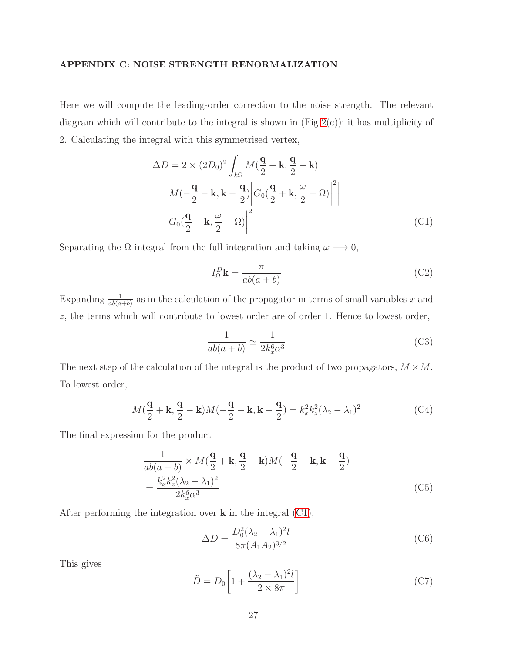# <span id="page-26-0"></span>APPENDIX C: NOISE STRENGTH RENORMALIZATION

Here we will compute the leading-order correction to the noise strength. The relevant diagram which will contribute to the integral is shown in  $(Fig 2(c))$  $(Fig 2(c))$  $(Fig 2(c))$ ; it has multiplicity of 2. Calculating the integral with this symmetrised vertex,

$$
\Delta D = 2 \times (2D_0)^2 \int_{k\Omega} M(\frac{\mathbf{q}}{2} + \mathbf{k}, \frac{\mathbf{q}}{2} - \mathbf{k})
$$

$$
M(-\frac{\mathbf{q}}{2} - \mathbf{k}, \mathbf{k} - \frac{\mathbf{q}}{2}) \Big| G_0(\frac{\mathbf{q}}{2} + \mathbf{k}, \frac{\omega}{2} + \Omega) \Big|^2
$$

$$
G_0(\frac{\mathbf{q}}{2} - \mathbf{k}, \frac{\omega}{2} - \Omega) \Big|^2
$$
(C1)

Separating the  $\Omega$  integral from the full integration and taking  $\omega \longrightarrow 0$ ,

<span id="page-26-1"></span>
$$
I_{\Omega}^{D}\mathbf{k} = \frac{\pi}{ab(a+b)}
$$
 (C2)

Expanding  $\frac{1}{ab(a+b)}$  as in the calculation of the propagator in terms of small variables x and z, the terms which will contribute to lowest order are of order 1. Hence to lowest order,

$$
\frac{1}{ab(a+b)} \simeq \frac{1}{2k_x^6 \alpha^3} \tag{C3}
$$

The next step of the calculation of the integral is the product of two propagators,  $M \times M$ . To lowest order,

$$
M(\frac{\mathbf{q}}{2} + \mathbf{k}, \frac{\mathbf{q}}{2} - \mathbf{k})M(-\frac{\mathbf{q}}{2} - \mathbf{k}, \mathbf{k} - \frac{\mathbf{q}}{2}) = k_x^2 k_z^2 (\lambda_2 - \lambda_1)^2
$$
 (C4)

The final expression for the product

$$
\frac{1}{ab(a+b)} \times M(\frac{\mathbf{q}}{2} + \mathbf{k}, \frac{\mathbf{q}}{2} - \mathbf{k})M(-\frac{\mathbf{q}}{2} - \mathbf{k}, \mathbf{k} - \frac{\mathbf{q}}{2})
$$
\n
$$
= \frac{k_x^2 k_z^2 (\lambda_2 - \lambda_1)^2}{2k_x^6 \alpha^3} \tag{C5}
$$

After performing the integration over  $\bf{k}$  in the integral [\(C1\)](#page-26-1),

$$
\Delta D = \frac{D_0^2 (\lambda_2 - \lambda_1)^2 l}{8\pi (A_1 A_2)^{3/2}}\tag{C6}
$$

This gives

$$
\tilde{D} = D_0 \left[ 1 + \frac{(\bar{\lambda}_2 - \bar{\lambda}_1)^2 l}{2 \times 8\pi} \right]
$$
\n(C7)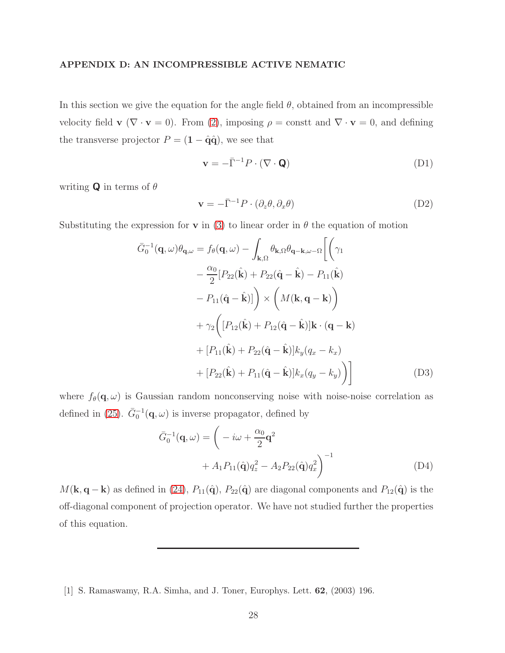# <span id="page-27-1"></span>APPENDIX D: AN INCOMPRESSIBLE ACTIVE NEMATIC

In this section we give the equation for the angle field  $\theta$ , obtained from an incompressible velocity field  $\mathbf{v}$  ( $\nabla \cdot \mathbf{v} = 0$ ). From [\(2\)](#page-3-2), imposing  $\rho = \text{const}$  and  $\nabla \cdot \mathbf{v} = 0$ , and defining the transverse projector  $P = (1 - \hat{q}\hat{q})$ , we see that

$$
\mathbf{v} = -\bar{\Gamma}^{-1} P \cdot (\nabla \cdot \mathbf{Q}) \tag{D1}
$$

writing **Q** in terms of  $\theta$ 

$$
\mathbf{v} = -\bar{\Gamma}^{-1}P \cdot (\partial_z \theta, \partial_x \theta) \tag{D2}
$$

Substituting the expression for **v** in [\(3\)](#page-4-0) to linear order in  $\theta$  the equation of motion

$$
\bar{G}_0^{-1}(\mathbf{q}, \omega)\theta_{\mathbf{q}, \omega} = f_{\theta}(\mathbf{q}, \omega) - \int_{\mathbf{k}, \Omega} \theta_{\mathbf{k}, \Omega} \theta_{\mathbf{q} - \mathbf{k}, \omega - \Omega} \left[ \left( \gamma_1 \right) - \frac{\alpha_0}{2} [P_{22}(\hat{\mathbf{k}}) + P_{22}(\hat{\mathbf{q}} - \hat{\mathbf{k}}) - P_{11}(\hat{\mathbf{k}}) - P_{11}(\hat{\mathbf{q}} - \hat{\mathbf{k}})] \right) \times \left( M(\mathbf{k}, \mathbf{q} - \mathbf{k}) \right) + \gamma_2 \left( [P_{12}(\hat{\mathbf{k}}) + P_{12}(\hat{\mathbf{q}} - \hat{\mathbf{k}})] \mathbf{k} \cdot (\mathbf{q} - \mathbf{k}) + [P_{11}(\hat{\mathbf{k}}) + P_{22}(\hat{\mathbf{q}} - \hat{\mathbf{k}})] k_y (q_x - k_x) + [P_{22}(\hat{\mathbf{k}}) + P_{11}(\hat{\mathbf{q}} - \hat{\mathbf{k}})] k_x (q_y - k_y) \right]
$$
\n(D3)

where  $f_{\theta}(\mathbf{q}, \omega)$  is Gaussian random nonconserving noise with noise-noise correlation as defined in [\(25\)](#page-9-2).  $\bar{G}_0^{-1}(\mathbf{q}, \omega)$  is inverse propagator, defined by

$$
\bar{G}_0^{-1}(\mathbf{q}, \omega) = \left( -i\omega + \frac{\alpha_0}{2} \mathbf{q}^2 + A_1 P_{11}(\hat{\mathbf{q}}) q_z^2 - A_2 P_{22}(\hat{\mathbf{q}}) q_x^2 \right)^{-1}
$$
\n
$$
(D4)
$$

 $M(\mathbf{k}, \mathbf{q} - \mathbf{k})$  as defined in [\(24\)](#page-9-3),  $P_{11}(\hat{\mathbf{q}}), P_{22}(\hat{\mathbf{q}})$  are diagonal components and  $P_{12}(\hat{\mathbf{q}})$  is the off-diagonal component of projection operator. We have not studied further the properties of this equation.

<span id="page-27-0"></span><sup>[1]</sup> S. Ramaswamy, R.A. Simha, and J. Toner, Europhys. Lett. 62, (2003) 196.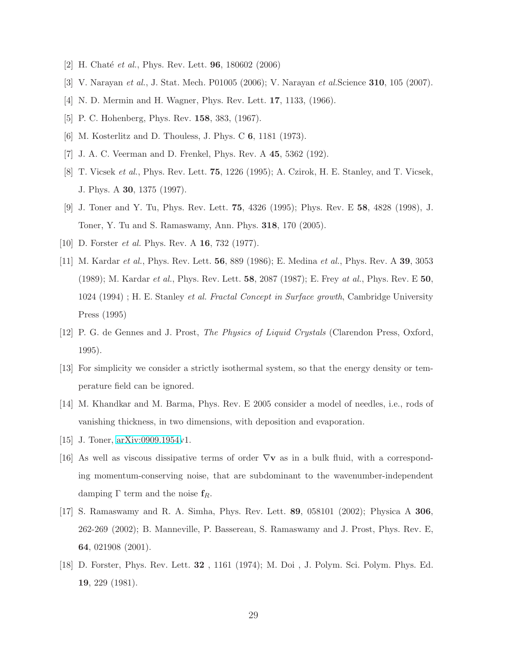- <span id="page-28-1"></span><span id="page-28-0"></span>[2] H. Chaté *et al.*, Phys. Rev. Lett. **96**, 180602 (2006)
- [3] V. Narayan *et al.*, J. Stat. Mech. P01005 (2006); V. Narayan *et al.*Science 310, 105 (2007).
- <span id="page-28-2"></span>[4] N. D. Mermin and H. Wagner, Phys. Rev. Lett. **17**, 1133, (1966).
- <span id="page-28-4"></span><span id="page-28-3"></span>[5] P. C. Hohenberg, Phys. Rev. 158, 383, (1967).
- <span id="page-28-5"></span>[6] M. Kosterlitz and D. Thouless, J. Phys. C 6, 1181 (1973).
- <span id="page-28-6"></span>[7] J. A. C. Veerman and D. Frenkel, Phys. Rev. A 45, 5362 (192).
- [8] T. Vicsek *et al.*, Phys. Rev. Lett. 75, 1226 (1995); A. Czirok, H. E. Stanley, and T. Vicsek, J. Phys. A 30, 1375 (1997).
- <span id="page-28-7"></span>[9] J. Toner and Y. Tu, Phys. Rev. Lett. 75, 4326 (1995); Phys. Rev. E 58, 4828 (1998), J. Toner, Y. Tu and S. Ramaswamy, Ann. Phys. 318, 170 (2005).
- <span id="page-28-9"></span><span id="page-28-8"></span>[10] D. Forster *et al.* Phys. Rev. A 16, 732 (1977).
- [11] M. Kardar *et al.*, Phys. Rev. Lett. 56, 889 (1986); E. Medina *et al.*, Phys. Rev. A 39, 3053 (1989); M. Kardar *et al.*, Phys. Rev. Lett. 58, 2087 (1987); E. Frey *at al.*, Phys. Rev. E 50, 1024 (1994) ; H. E. Stanley *et al. Fractal Concept in Surface growth*, Cambridge University Press (1995)
- <span id="page-28-10"></span>[12] P. G. de Gennes and J. Prost, *The Physics of Liquid Crystals* (Clarendon Press, Oxford, 1995).
- <span id="page-28-11"></span>[13] For simplicity we consider a strictly isothermal system, so that the energy density or temperature field can be ignored.
- <span id="page-28-12"></span>[14] M. Khandkar and M. Barma, Phys. Rev. E 2005 consider a model of needles, i.e., rods of vanishing thickness, in two dimensions, with deposition and evaporation.
- <span id="page-28-13"></span>[15] J. Toner, [arXiv:0909.1954v](http://arxiv.org/abs/0909.1954)1.
- <span id="page-28-14"></span>[16] As well as viscous dissipative terms of order  $\nabla$ **v** as in a bulk fluid, with a corresponding momentum-conserving noise, that are subdominant to the wavenumber-independent damping  $\Gamma$  term and the noise  $f_R$ .
- <span id="page-28-15"></span>[17] S. Ramaswamy and R. A. Simha, Phys. Rev. Lett. 89, 058101 (2002); Physica A 306, 262-269 (2002); B. Manneville, P. Bassereau, S. Ramaswamy and J. Prost, Phys. Rev. E, 64, 021908 (2001).
- <span id="page-28-16"></span>[18] D. Forster, Phys. Rev. Lett. 32 , 1161 (1974); M. Doi , J. Polym. Sci. Polym. Phys. Ed. 19, 229 (1981).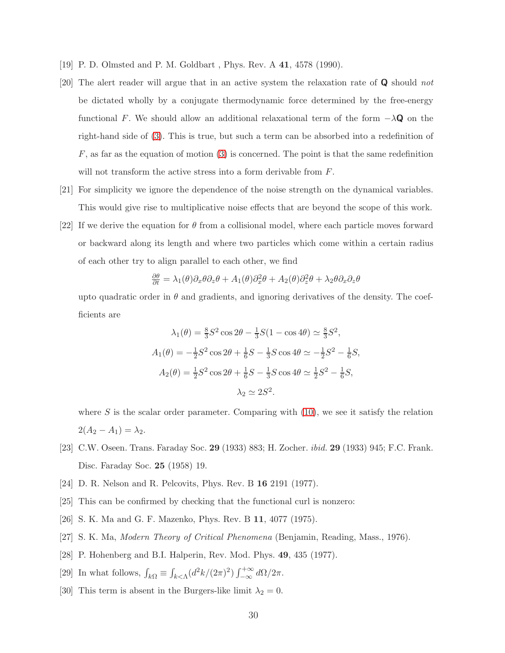- <span id="page-29-1"></span><span id="page-29-0"></span>[19] P. D. Olmsted and P. M. Goldbart , Phys. Rev. A 41, 4578 (1990).
- [20] The alert reader will argue that in an active system the relaxation rate of Q should *not* be dictated wholly by a conjugate thermodynamic force determined by the free-energy functional F. We should allow an additional relaxational term of the form  $-\lambda \mathbf{Q}$  on the right-hand side of [\(3\)](#page-4-0). This is true, but such a term can be absorbed into a redefinition of  $F$ , as far as the equation of motion [\(3\)](#page-4-0) is concerned. The point is that the same redefinition will not transform the active stress into a form derivable from F.
- <span id="page-29-2"></span>[21] For simplicity we ignore the dependence of the noise strength on the dynamical variables. This would give rise to multiplicative noise effects that are beyond the scope of this work.
- <span id="page-29-3"></span>[22] If we derive the equation for  $\theta$  from a collisional model, where each particle moves forward or backward along its length and where two particles which come within a certain radius of each other try to align parallel to each other, we find

$$
\frac{\partial \theta}{\partial t} = \lambda_1(\theta)\partial_x\theta\partial_z\theta + A_1(\theta)\partial_x^2\theta + A_2(\theta)\partial_z^2\theta + \lambda_2\theta\partial_x\partial_z\theta
$$

upto quadratic order in  $\theta$  and gradients, and ignoring derivatives of the density. The coefficients are

$$
\lambda_1(\theta) = \frac{8}{3}S^2 \cos 2\theta - \frac{1}{3}S(1 - \cos 4\theta) \approx \frac{8}{3}S^2,
$$
  
\n
$$
A_1(\theta) = -\frac{1}{2}S^2 \cos 2\theta + \frac{1}{6}S - \frac{1}{3}S \cos 4\theta \approx -\frac{1}{2}S^2 - \frac{1}{6}S,
$$
  
\n
$$
A_2(\theta) = \frac{1}{2}S^2 \cos 2\theta + \frac{1}{6}S - \frac{1}{3}S \cos 4\theta \approx \frac{1}{2}S^2 - \frac{1}{6}S,
$$
  
\n
$$
\lambda_2 \approx 2S^2.
$$

where  $S$  is the scalar order parameter. Comparing with  $(10)$ , we see it satisfy the relation  $2(A_2 - A_1) = \lambda_2.$ 

- <span id="page-29-4"></span>[23] C.W. Oseen. Trans. Faraday Soc. 29 (1933) 883; H. Zocher. *ibid.* 29 (1933) 945; F.C. Frank. Disc. Faraday Soc. 25 (1958) 19.
- <span id="page-29-5"></span>[24] D. R. Nelson and R. Pelcovits, Phys. Rev. B 16 2191 (1977).
- <span id="page-29-6"></span>[25] This can be confirmed by checking that the functional curl is nonzero:
- <span id="page-29-7"></span>[26] S. K. Ma and G. F. Mazenko, Phys. Rev. B 11, 4077 (1975).
- <span id="page-29-8"></span>[27] S. K. Ma, *Modern Theory of Critical Phenomena* (Benjamin, Reading, Mass., 1976).
- <span id="page-29-9"></span>[28] P. Hohenberg and B.I. Halperin, Rev. Mod. Phys. 49, 435 (1977).
- <span id="page-29-10"></span>[29] In what follows,  $\int_{k\Omega} \equiv \int_{k \leq \Lambda} (d^2k/(2\pi)^2) \int_{-\infty}^{+\infty} d\Omega/2\pi$ .
- <span id="page-29-11"></span>[30] This term is absent in the Burgers-like limit  $\lambda_2 = 0$ .